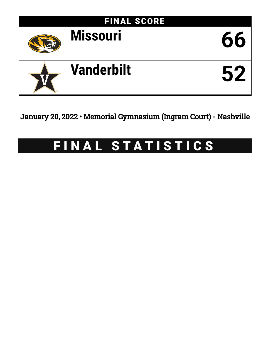

January 20, 2022 • Memorial Gymnasium (Ingram Court) - Nashville

# FINAL STATISTICS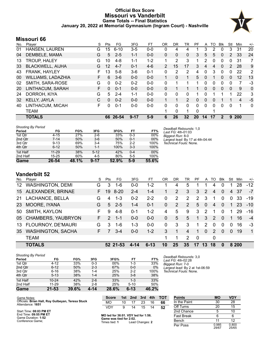# **Official Box Score Missouri vs Vanderbilt Game Totals -- Final Statistics January 20, 2022 at Memorial Gymnasium (Ingram Court) - Nashville**



# **Missouri 66**

| No. | Player                    | S  | Pts             | FG       | 3FG      | FT      | 0R | DR.          | TR             | PF       | A  | TO       | <b>B</b> lk  | Stl            | Min        | $+/-$ |
|-----|---------------------------|----|-----------------|----------|----------|---------|----|--------------|----------------|----------|----|----------|--------------|----------------|------------|-------|
| 01  | HANSEN, LAUREN            | G  | 15 <sub>1</sub> | $6 - 10$ | $3-5$    | $0-0$   | 0  | 4            | 4              |          | 3  | 2        | 0            | 3              | 31         | 20    |
| 04  | DEMBELE, MAMA             | G  | 5               | $2 - 5$  | $1 - 1$  | $0 - 0$ | 0  | $\mathbf{0}$ | $\mathbf{0}$   | 3        | 5  | 5        | $\Omega$     | $\overline{2}$ | 33         | 24    |
| 13  | <b>TROUP, HALEY</b>       | G  | 10              | $4 - 8$  | $1 - 1$  | $1-2$   |    | 2            | 3              |          | 2  | 0        | 0            | 0              | 31         | 7     |
| 33  | <b>BLACKWELL, AIJHA</b>   | G  | 12              | $4 - 7$  | $0 - 1$  | $4-6$   | 2  | 15           | 17             | 3        | 4  | 4        | $\Omega$     | 2              | 28         | 9     |
| 43  | FRANK, HAYLEY             | F  | 13              | $5-8$    | $3-6$    | $0 - 1$ | 0  | 2            | $\overline{2}$ | 4        | 0  | 3        | $\Omega$     | 0              | 22         | 2     |
| 00  | <b>WILLIAMS, LADAZHIA</b> | F  | 6               | $3-6$    | $0 - 0$  | $0 - 0$ |    | $\mathbf{0}$ | 1              | 5        | 0  |          | $\mathbf{0}$ | 0              | 12         | 13    |
| 02  | SMITH, SARA-ROSE          | G  | $\Omega$        | $0 - 2$  | $0 - 2$  | $0 - 0$ | 0  | 1            | 1              | 1        | 0  | 0        | 0            | 0              | 7          | -3    |
| 20  | LINTHACUM, SARAH          | F. | $\Omega$        | $0 - 1$  | $0 - 0$  | $0 - 0$ | 0  | 1            |                | 1.       | 0  | $\Omega$ | $\Omega$     | $\Omega$       | 9          | 0     |
| 24  | DORROH, KIYA              | G  | 5               | $2 - 4$  | $1 - 1$  | $0 - 0$ | 0  | 0            | $\mathbf{0}$   |          | 0  |          |              | 1              | 22         | 3     |
| 32  | KELLY, JAYLA              | C  | 0               | $0 - 2$  | $0 - 0$  | $0 - 0$ | 1  | 1            | $\overline{2}$ | $\Omega$ | 0  | 0        |              | 1              | 4          | $-5$  |
| 40  | LINTHACUM, MICAH          | F  | 0               | $0 - 1$  | $0 - 0$  | $0 - 0$ | 0  | $\Omega$     | $\Omega$       | $\Omega$ | 0  | $\Omega$ | $\Omega$     | 0              | 1          | 0     |
|     | TEAM                      |    |                 |          |          |         |    | 0            | 1              | 0        |    |          |              |                |            |       |
|     | <b>TOTALS</b>             |    | 66              | 26-54    | $9 - 17$ | $5-9$   | 6  | 26           | 32             | 20       | 14 | 17       | 2            | 9              | <b>200</b> |       |

| <b>Shooting By Period</b> |           |       |          |       |         |       |
|---------------------------|-----------|-------|----------|-------|---------|-------|
| Period                    | FG        | FG%   | 3FG      | 3FG%  | FT      | FT%   |
| 1st Qtr                   | $4 - 15$  | 27%   | $2-6$    | 33%   | $0 - 3$ | 00%   |
| 2nd Qtr                   | $7 - 14$  | 50%   | $3-6$    | 50%   | $0 - 1$ | 00%   |
| 3rd Qtr                   | $9 - 13$  | 69%   | $3 - 4$  | 75%   | $2 - 2$ | 100%  |
| 4th Qtr                   | $6 - 12$  | 50%   | $1 - 1$  | 100%  | $3 - 3$ | 100%  |
| 1st Half                  | $11 - 29$ | 38%   | $5 - 12$ | 42%   | $0 - 4$ | 00%   |
| 2nd Half                  | $15 - 25$ | 60%   | $4 - 5$  | 80%   | $5 - 5$ | 100%  |
| Game                      | 26-54     | 48.1% | $9 - 17$ | 52.9% | $5-9$   | 55.6% |

*Deadball Rebounds:* 1,0 *Last FG:* 4th-01:03 *Biggest Run:* 8-0 *Largest lead:* By 17 at 4th-04:44 *Technical Fouls:* None.

# **Vanderbilt 52**

| No.             | Player                   | S  | Pts           | FG       | 3FG     | FТ       | 0R       | DR | TR | PF             | A        | TO             | <b>BIK</b> | Stl            | Min   | $+/-$        |
|-----------------|--------------------------|----|---------------|----------|---------|----------|----------|----|----|----------------|----------|----------------|------------|----------------|-------|--------------|
| 12 <sup>1</sup> | <b>WASHINGTON, DEMI</b>  | G  | 3             | $1 - 6$  | $0 - 0$ | $1 - 2$  |          | 4  | 5  |                |          | 4              |            |                | 28    | $-12$        |
| 15              | ALEXANDER, BRINAE        | F. | 19            | $8 - 20$ | $2 - 4$ | $1 - 4$  |          | 2  | 3  | 3              | 2        | 4              | $\Omega$   | 4              | -37   | $-7$         |
| 21              | LACHANCE, BELLA          | G  | 4             | $1 - 3$  | $0 - 2$ | $2 - 2$  | 0        | 2  | 2  | $\overline{2}$ | 3        | 1              | 0          | $\Omega$       | 33    | $-19$        |
| 23              | MOORE, IYANA             | G. | $5^{\circ}$   | $2 - 5$  | $1 - 4$ | $0 - 1$  | $\Omega$ | 2  | 2  | 5              | $\Omega$ | $\overline{4}$ | $\Omega$   | $\overline{1}$ | -23   | $-10^{-}$    |
| 50              | SMITH, KAYLON            | F. | 9             | $4 - 8$  | $0 - 1$ | $1 - 2$  | 4        | 5  | 9  | 3              | 2        | 1              | 0          | 1              | 29    | -16          |
|                 | 05 CHAMBERS, YAUBRYON    | F. | $\mathcal{P}$ | $1 - 1$  | $0 - 0$ | $0 - 0$  | $\Omega$ | 5  | 5  | 1              | 3        | $\mathcal{P}$  | $\Omega$   |                | 16    | $-4$         |
|                 | 13 FLOURNOY, DE'MAURI    | G  | 3             | $1 - 6$  | $1 - 3$ | $0 - 0$  | $\Omega$ | 3  | 3  | 1              | 2        | 0              | $\Omega$   | $\Omega$       | 16    | -3           |
| 35              | <b>WASHINGTON, SACHA</b> | F. | 7             | $3-4$    | $0 - 0$ | $1 - 2$  | 3        | 1  | 4  | 1              | $\Omega$ | $\mathcal{P}$  | $\Omega$   | $\Omega$       | 19    | $\mathbf{1}$ |
|                 | <b>TEAM</b>              |    |               |          |         |          | 1        | 1  | 2  | $\Omega$       |          | 0              |            |                |       |              |
|                 | <b>TOTALS</b>            |    |               | 52 21-53 | 4-14    | $6 - 13$ | 10       | 25 | 35 | 17             | 13       | 18             | $\bf{0}$   |                | 8 200 |              |

#### *Shooting By Period*

| Period   | FG        | FG%   | 3FG     | 3FG%   | FT       | FT%   |
|----------|-----------|-------|---------|--------|----------|-------|
| 1st Qtr  | 4-12      | 33%   | $0 - 3$ | $00\%$ | 1-3      | 33%   |
| 2nd Qtr  | $6 - 12$  | 50%   | $2 - 3$ | 67%    | $0 - 0$  | 0%    |
| 3rd Qtr  | $6 - 16$  | 38%   | 1-4     | 25%    | $2 - 2$  | 100%  |
| 4th Qtr  | $5 - 13$  | 38%   | $1 - 4$ | 25%    | $3 - 8$  | 38%   |
| 1st Half | $10 - 24$ | 42%   | $2 - 6$ | 33%    | $1 - 3$  | 33%   |
| 2nd Half | $11 - 29$ | 38%   | $2 - 8$ | 25%    | $5 - 10$ | 50%   |
| Game     | $21 - 53$ | 39.6% | 4-14    | 28.6%  | 6-13     | 46.2% |

*Deadball Rebounds:* 3,0 *Last FG:* 4th-02:28 *Biggest Run:* 7-0 *Largest lead:* By 2 at 1st-06:59 *Technical Fouls:* None.

| Game Notes:                                                           | <b>Score</b>                             |    | 1st 2nd 3rd     |    | 4th | <b>TOT</b> | <b>Points</b>     | <b>MO</b>      | <b>VDY</b>     |
|-----------------------------------------------------------------------|------------------------------------------|----|-----------------|----|-----|------------|-------------------|----------------|----------------|
| Officials: Brian Hall, Roy Gulbeyan, Teresa Stuck<br>Attendance: 1651 | <b>MO</b>                                | 10 |                 | 23 | 16  | 66         | In the Paint      | 30             | 28             |
|                                                                       | VDY                                      |    | 14              | 15 | 14  | 52         | Off Turns         | 20             | 15             |
| Start Time: 08:03 PM ET                                               |                                          |    |                 |    |     |            | 2nd Chance        |                | 10             |
| End Time: 09:55 PM ET<br>Game Duration: 1:52                          | MO led for 36:01. VDY led for 1:56.      |    |                 |    |     |            | <b>Fast Break</b> | 6              |                |
| Conference Game:                                                      | Game was tied for 2:02.<br>Times tied: 1 |    | Lead Changes: 2 |    |     |            | Bench             |                | 12             |
|                                                                       |                                          |    |                 |    |     |            | Per Poss          | 0.985<br>29/67 | 0.800<br>25/65 |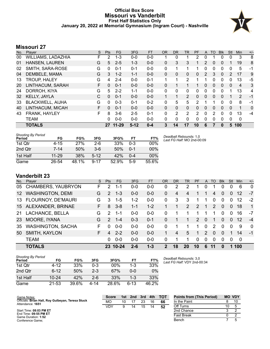# **Official Box Score Missouri vs Vanderbilt First Half Statistics Only January 20, 2022 at Memorial Gymnasium (Ingram Court) - Nashville**



# **Missouri 27**

| No. | Player                    | S  | <b>Pts</b> | FG        | 3FG     | <b>FT</b> | <b>OR</b>    | <b>DR</b> | <b>TR</b>      | <b>PF</b> | A                     | <b>TO</b> | <b>Blk</b> | Stl          | <b>Min</b>     | $+/-$ |
|-----|---------------------------|----|------------|-----------|---------|-----------|--------------|-----------|----------------|-----------|-----------------------|-----------|------------|--------------|----------------|-------|
| 00  | <b>WILLIAMS, LADAZHIA</b> | F  | 2          | $1 - 3$   | $0 - 0$ | $0-0$     |              | 0         |                | 2         | 0                     |           | 0          | 0            | 3              | 8     |
| 01  | <b>HANSEN, LAUREN</b>     | G  | 5          | $2 - 5$   | $1 - 3$ | $0 - 0$   | 0            | 3         | 3              | 1         | 2                     | 0         | 0          | 1            | 19             | 8     |
| 02  | SMITH, SARA-ROSE          | G  | 0          | $0 - 1$   | $0 - 1$ | $0 - 0$   | 0            | 1         |                | 1         | 0                     | 0         | 0          | 0            | 5              | -1    |
| 04  | DEMBELE, MAMA             | G  | 3          | $1 - 2$   | $1 - 1$ | $0 - 0$   | 0            | 0         | 0              | 0         | $\mathbf{2}^{\prime}$ | 3         | $\Omega$   | 2            | 17             | 9     |
| 13  | <b>TROUP, HALEY</b>       | G  | 4          | $2 - 4$   | $0 - 0$ | $0 - 1$   |              | 1         | 2              |           |                       | 0         | 0          | 0            | 13             | $-5$  |
| 20  | LINTHACUM, SARAH          | F. | $\Omega$   | $0 - 1$   | $0 - 0$ | $0 - 0$   | 0            | 1         |                |           | $\Omega$              | $\Omega$  | $\Omega$   | $\mathbf{0}$ | $\overline{4}$ | 3     |
| 24  | DORROH, KIYA              | G  | 5          | $2 - 2$   | $1 - 1$ | $0 - 0$   | $\mathbf{0}$ | 0         | 0              | 0         | 0                     | 0         | $\Omega$   |              | 13             | 4     |
| 32  | <b>KELLY, JAYLA</b>       | C  | $\Omega$   | $0 - 1$   | $0 - 0$ | $0 - 0$   | $\mathbf{1}$ | 1         | $\overline{2}$ | 0         | 0                     | 0         | $\Omega$   | 1            | $\overline{2}$ | -1    |
| 33  | <b>BLACKWELL, AIJHA</b>   | G  | 0          | $0 - 3$   | $0 - 1$ | $0 - 2$   | 0            | 5         | 5              | 2         |                       |           | 0          | 0            | 8              | $-1$  |
| 40  | LINTHACUM, MICAH          | F  | $\Omega$   | $0 - 1$   | $0 - 0$ | $0 - 0$   | 0            | 0         | $\mathbf{0}$   | 0         | 0                     | 0         | $\Omega$   | 0            | 1              | 0     |
| 43  | FRANK, HAYLEY             | F  | 8          | $3-6$     | $2 - 5$ | $0 - 1$   | 0            | 2         | 2              | 2         | 0                     | 2         | $\Omega$   | 0            | 13             | $-4$  |
|     | <b>TEAM</b>               |    | 0          | $0 - 0$   | $0 - 0$ | $0 - 0$   | 0            | 0         | 0              | 0         | $\Omega$              | $\Omega$  | $\Omega$   | 0            | $\mathbf 0$    |       |
|     | <b>TOTALS</b>             |    | 27         | $11 - 29$ | $5-12$  | $0 - 4$   | 3            | 14        | 17             | 10        | 6                     |           | $\bf{0}$   | 5            | 100            |       |

| <b>Shooting By Period</b><br>Period | FG        | FG%   | 3FG      | 3FG%  | FT      | FT%   |
|-------------------------------------|-----------|-------|----------|-------|---------|-------|
| 1st Qtr                             | 4-15      | 27%   | 2-6      | 33%   | $0 - 3$ | 00%   |
| 2nd Qtr                             | $7 - 14$  | 50%   | $3-6$    | 50%   | $0 - 1$ | 00%   |
| 1st Half                            | $11 - 29$ | 38%   | $5-12$   | 42%   | 0-4     | 00%   |
| Game                                | 26-54     | 48.1% | $9 - 17$ | 52.9% | 5-9     | 55.6% |

*Deadball Rebounds:* 1,0 *Last FG Half:* MO 2nd-00:09

# **Vanderbilt 23**

| No.     | Player                    | S. | <b>Pts</b>     | FG.       | 3FG     | <b>FT</b> | <b>OR</b> | DR            | TR. | PF            | A             | <b>TO</b>     | <b>Blk</b> | Stl      | <b>Min</b> | $+/-$        |
|---------|---------------------------|----|----------------|-----------|---------|-----------|-----------|---------------|-----|---------------|---------------|---------------|------------|----------|------------|--------------|
| 05      | <b>CHAMBERS, YAUBRYON</b> | F  | 2              | $1 - 1$   | $0 - 0$ | $0 - 0$   | 0         | $\mathcal{P}$ | 2   |               | 0             |               | 0          | 0        | 6          | $\Omega$     |
| $12 \,$ | <b>WASHINGTON, DEMI</b>   | G  | $\mathcal{P}$  | $1 - 3$   | $0 - 0$ | $0 - 0$   | 0         | 4             | 4   |               |               | 4             | $\Omega$   | 0        | 12         | -7           |
| 13      | FLOURNOY, DE'MAURI        | G  | 3              | 1-5       | $1 - 2$ | $0-0$     | 0         | 3             | 3   | 1             | 1             | 0             | $\Omega$   | $\Omega$ | 12         | $-2$         |
|         | 15 ALEXANDER, BRINAE      | F. | 8              | $3 - 8$   | $1 - 1$ | $1 - 2$   |           |               | 2   | $\mathcal{P}$ | 1             | $\mathcal{P}$ | $\Omega$   | $\Omega$ | 18         | $\mathbf{1}$ |
| 21      | LACHANCE, BELLA           | G  | $\mathcal{P}$  | $1 - 1$   | $0-0$   | $0-0$     | 0         |               |     | 1             |               |               | $\Omega$   | $\Omega$ | 16         | -7           |
| 23      | MOORE, IYANA              | G  | $\mathcal{P}$  | $1 - 4$   | $0 - 3$ | $0 - 1$   | 0         |               |     | 2             | $\Omega$      | 1             | $\Omega$   | $\Omega$ | 12         | $-4$         |
| 35      | <b>WASHINGTON, SACHA</b>  | F  | 0              | $0 - 0$   | $0 - 0$ | $0 - 0$   | 0         |               |     | 1             | $\Omega$      | $\mathcal{P}$ | $\Omega$   | $\Omega$ | 9          | $\Omega$     |
| 50      | SMITH, KAYLON             | F. | $\overline{4}$ | $2 - 2$   | $0 - 0$ | $0-0$     |           | 4             | 5   | 1             | $\mathcal{P}$ | $\Omega$      | $\Omega$   |          | 14         | $-1$         |
|         | <b>TEAM</b>               |    | 0              | $0-0$     | $0 - 0$ | $0 - 0$   | $\Omega$  |               |     | 0             | $\Omega$      | $\Omega$      | $\Omega$   | $\Omega$ | $\Omega$   |              |
|         | <b>TOTALS</b>             |    | 23.            | $10 - 24$ | $2 - 6$ | $1 - 3$   | 2         | 18            | 20  | 10            | 6             |               | $\bf{0}$   | 1        | 100        |              |

| <b>Shooting By Period</b><br>Period | FG        | FG%   | 3FG     | 3FG%   | FТ      | FT%   |
|-------------------------------------|-----------|-------|---------|--------|---------|-------|
| 1st Otr                             | $4 - 12$  | 33%   | 0-3     | $00\%$ | 1-3     | 33%   |
| 2nd Qtr                             | $6-12$    | 50%   | $2 - 3$ | 67%    | ი-ი     | $0\%$ |
| 1st Half                            | $10 - 24$ | 42%   | $2-6$   | 33%    | $1 - 3$ | 33%   |
| Game                                | 21-53     | 39.6% | 4-14    | 28.6%  | $6-13$  | 46.2% |

*Deadball Rebounds:* 3,0 *Last FG Half:* VDY 2nd-00:34

| Game Notes:                                                           | <b>Score</b> | 1st | 2nd | 3rd | 4th | <b>TOT</b> | <b>Points from (This Period)</b> |    | <b>MO VDY</b> |
|-----------------------------------------------------------------------|--------------|-----|-----|-----|-----|------------|----------------------------------|----|---------------|
| Officials: Brian Hall, Roy Gulbeyan, Teresa Stuck<br>Attendance: 1651 | МO           | 10  |     | 23  | 16  | 66         | In the Paint                     |    | 10            |
|                                                                       | VDY          |     | 14  | 15  | 14  | 52         | Off Turns                        | 10 |               |
| Start Time: 08:03 PM ET                                               |              |     |     |     |     |            | 2nd Chance                       |    |               |
| End Time: 09:55 PM ET<br>Game Duration: 1:52                          |              |     |     |     |     |            | Fast Break                       |    |               |
| Conference Game;                                                      |              |     |     |     |     |            | Bench                            |    |               |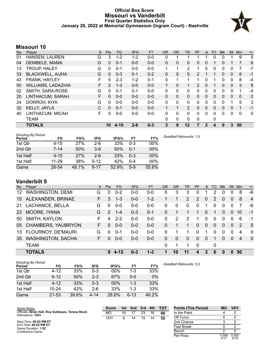# **Official Box Score Missouri vs Vanderbilt First Quarter Statistics Only January 20, 2022 at Memorial Gymnasium (Ingram Court) - Nashville**



# **Missouri 10**

| No. | Plaver                    | S | <b>Pts</b>     | <b>FG</b> | 3FG     | <b>FT</b> | <b>OR</b>    | D <sub>R</sub> | TR             | PF | A        | TO | <b>B</b> lk | <b>Stl</b>   | Min          | $+/-$ |
|-----|---------------------------|---|----------------|-----------|---------|-----------|--------------|----------------|----------------|----|----------|----|-------------|--------------|--------------|-------|
| 01  | HANSEN, LAUREN            | G | 3              | $1 - 2$   | $1 - 2$ | $0-0$     | 0            |                |                |    |          | 0  | 0           |              | 9            | 5     |
| 04  | DEMBELE, MAMA             | G | 0              | $0 - 1$   | $0 - 0$ | $0 - 0$   | $\Omega$     | 0              | 0              | 0  | $\Omega$ |    | 0           |              | 7            | 6     |
| 13  | TROUP, HALEY              | G | 0              | $0 - 1$   | $0 - 0$ | $0 - 0$   | 1            |                | 2              |    | $\Omega$ | 0  | 0           | 0            | 7            | -7    |
| 33  | <b>BLACKWELL, AIJHA</b>   | G | 0              | $0 - 3$   | $0 - 1$ | $0 - 2$   | 0            | 5              | 5              | 2  |          |    | 0           | $\mathbf{0}$ | 8            | $-1$  |
| 43  | FRANK, HAYLEY             | F | 5              | $2 - 3$   | $1 - 2$ | $0 - 1$   | 0            |                | 1              |    | 0        |    | 0           | 0            | 8            | $-4$  |
| 00  | <b>WILLIAMS, LADAZHIA</b> | F | $\overline{2}$ | $1 - 3$   | $0 - 0$ | $0 - 0$   | 1            | $\Omega$       | 1.             | 2  | $\Omega$ |    | 0           | $\Omega$     | 3            | 8     |
| 02  | SMITH, SARA-ROSE          | G | 0              | $0 - 1$   | $0 - 1$ | $0 - 0$   | 0            | 0              | 0              | 0  | $\Omega$ | 0  | 0           | 0            | 1            | $-4$  |
| 20  | LINTHACUM, SARAH          | F | 0              | $0 - 0$   | $0 - 0$ | $0 - 0$   | $\mathbf{0}$ | $\mathbf{0}$   | 0              | 0  | $\Omega$ | 0  | 0           | $\Omega$     | $\mathbf{0}$ | 0     |
| 24  | DORROH, KIYA              | G | 0              | $0 - 0$   | $0 - 0$ | $0 - 0$   | $\Omega$     | $\Omega$       | 0              | 0  | $\Omega$ | 0  | 0           |              | 5            | 3     |
| 32  | <b>KELLY, JAYLA</b>       | C | 0              | $0 - 1$   | $0 - 0$ | $0 - 0$   | 1            |                | $\overline{2}$ | 0  | $\Omega$ | 0  | 0           | $\Omega$     | 1            | $-1$  |
| 40  | LINTHACUM, MICAH          | F | 0              | $0 - 0$   | $0-0$   | $0 - 0$   | $\Omega$     | $\Omega$       | 0              | 0  | $\Omega$ | 0  | 0           | $\Omega$     | $\Omega$     | 0     |
|     | TEAM                      |   |                |           |         |           | $\Omega$     | $\mathbf{0}$   | 0              | 0  |          | 0  |             |              |              |       |
|     | <b>TOTALS</b>             |   | 10             | $4 - 15$  | $2 - 6$ | $0 - 3$   | 3            | 9              | 12             |    | 2        | 4  | 0           | 3            | 50           |       |

| <b>Shooting By Period</b><br>Period | FG       | FG%   | 3FG      | 3FG%  | FT      | FT%   | Deadball Rebounds: 1.0 |
|-------------------------------------|----------|-------|----------|-------|---------|-------|------------------------|
| 1st Qtr                             | 4-15     | 27%   | $2-6$    | 33%   | $0 - 3$ | 00%   |                        |
| 2nd Qtr                             | $7 - 14$ | 50%   | $3-6$    | 50%   | $0 - 1$ | 00%   |                        |
| 1st Half                            | $4 - 15$ | 27%   | $2-6$    | 33%   | $0 - 3$ | 00%   |                        |
| 1st Half                            | 11-29    | 38%   | $5 - 12$ | 42%   | $0 - 4$ | 00%   |                        |
| Game                                | 26-54    | 48.1% | $9 - 17$ | 52.9% | $5-9$   | 55.6% |                        |

# **Vanderbilt 9**

| No. | Plaver                    | S. | <b>Pts</b>    | <b>FG</b>   | 3FG     | <b>FT</b> | <b>OR</b> | <b>DR</b> | TR       | PF             | A              | TO       | <b>Blk</b> | Stl      | Min | $+/-$          |
|-----|---------------------------|----|---------------|-------------|---------|-----------|-----------|-----------|----------|----------------|----------------|----------|------------|----------|-----|----------------|
| 12  | <b>WASHINGTON, DEMI</b>   | G  | 0             | $0 - 2$     | $0 - 0$ | $0 - 0$   | 0         | 3         | 3        | 0              | 1              | 2        | 0          |          | 8   | -6             |
| 15  | ALEXANDER, BRINAE         | F. | 3             | $1 - 3$     | $0 - 0$ | $1 - 2$   |           |           | 2        | $\overline{2}$ | $\overline{0}$ | 2        | 0          | 0        | 8   | $\overline{4}$ |
| 21  | LACHANCE, BELLA           | G  | 0             | $0 - 0$     | $0 - 0$ | $0-0$     | 0         | 0         | $\Omega$ | $\Omega$       |                | 0        | 0          |          | 7   | -6             |
| 23  | MOORE, IYANA              | G  | $\mathcal{P}$ | $1 - 4$     | $0 - 3$ | $0 - 1$   | 0         |           |          |                | 0              |          | 0          | $\Omega$ | 10  | $-1$           |
| 50  | SMITH, KAYLON             | F  | 4             | $2 - 2$     | $0 - 0$ | $0-0$     | $\Omega$  | 2         | 2        | 1              | 0              | $\Omega$ | 0          | $\Omega$ | 6   | $-1$           |
| 05  | CHAMBERS, YAUBRYON        | F  | 0             | $0 - 0$     | $0 - 0$ | $0-0$     | $\Omega$  |           |          | 0              | $\Omega$       | $\Omega$ | 0          | $\Omega$ | 2   | 5              |
| 13  | <b>FLOURNOY, DE'MAURI</b> | G  | $\Omega$      | $0 - 1$     | $0 - 0$ | $0-0$     | $\Omega$  |           |          | 0              | 1              | 0        | 0          | $\Omega$ | 4   | $\Omega$       |
| 35  | <b>WASHINGTON, SACHA</b>  | F. | O             | $0 - 0$     | $0 - 0$ | $0-0$     | 0         | $\Omega$  | $\Omega$ | $\Omega$       | $\Omega$       |          | 0          | $\Omega$ | 4   | $\Omega$       |
|     | <b>TEAM</b>               |    |               |             |         |           | $\Omega$  | 1         |          | $\Omega$       |                | 0        |            |          |     |                |
|     | <b>TOTALS</b>             |    | 9             | <b>4-12</b> | $0 - 3$ | $1 - 3$   |           | 10        | 11       | 4              | 3              | 6        | 0          |          | 50  |                |

| <b>Shooting By Period</b><br>Period | FG        | FG%   | 3FG      | 3FG%   | FT       | FT%   | Deadball Rebounds: 3.0 |
|-------------------------------------|-----------|-------|----------|--------|----------|-------|------------------------|
| 1st Qtr                             | 4-12      | 33%   | $0 - 3$  | 00%    | 1-3      | 33%   |                        |
| 2nd Qtr                             | $6 - 12$  | 50%   | $2 - 3$  | 67%    | $0 - 0$  | 0%    |                        |
| 1st Half                            | $4 - 12$  | 33%   | $0 - 3$  | $00\%$ | $1 - 3$  | 33%   |                        |
| 1st Half                            | $10 - 24$ | 42%   | $2-6$    | 33%    | $1 - 3$  | 33%   |                        |
| Game                                | $21 - 53$ | 39.6% | $4 - 14$ | 28.6%  | $6 - 13$ | 46.2% |                        |

| Game Notes:                                                           | <b>Score</b> | 1st. | 2nd | - 3rd | 4th | <b>TOT</b> | <b>Points (This Period)</b> | МO | <b>VDY</b> |
|-----------------------------------------------------------------------|--------------|------|-----|-------|-----|------------|-----------------------------|----|------------|
| Officials: Brian Hall, Roy Gulbeyan, Teresa Stuck<br>Attendance: 1651 | МO           | 10   |     | 23    | 16  | 66         | In the Paint                |    |            |
|                                                                       | <b>VDY</b>   |      | 14  | 15    | 14  | 52         | Off Turns                   |    |            |
| Start Time: 08:03 PM ET                                               |              |      |     |       |     |            | 2nd Chance                  |    |            |
| End Time: 09:55 PM ET<br>Game Duration: 1:52                          |              |      |     |       |     |            | <b>Fast Break</b>           |    |            |
| Conference Game;                                                      |              |      |     |       |     |            | Bench                       |    |            |

Per Poss

 $0.588$ <br> $4/17$ 

0.500 5/18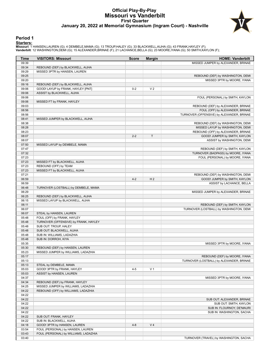# **Official Play-By-Play Missouri vs Vanderbilt First Quarter January 20, 2022 at Memorial Gymnasium (Ingram Court) - Nashville**



### **Period 1**

<mark>Startersː</mark><br>Missouri: 1 HANSEN,LAUREN (G); 4 DEMBELE,MAMA (G); 13 TROUP,HALEY (G); 33 BLACKWELL,AIJHA (G); 43 FRANK,HAYLEY (F);<br>**Vanderbilt**: 12 WASHINGTON,DEMI (G); 15 ALEXANDER,BRINAE (F); 21 LACHANCE,BELLA (G); 23 MOORE

| Time           | <b>VISITORS: Missouri</b>             | <b>Score</b> | <b>Margin</b>  | <b>HOME: Vanderbilt</b>                                            |
|----------------|---------------------------------------|--------------|----------------|--------------------------------------------------------------------|
| 09:39          |                                       |              |                | MISSED JUMPER by ALEXANDER, BRINAE                                 |
| 09:34          | REBOUND (DEF) by BLACKWELL, AIJHA     |              |                |                                                                    |
| 09:29          | MISSED 3PTR by HANSEN, LAUREN         |              |                |                                                                    |
| 09:25          |                                       |              |                | REBOUND (DEF) by WASHINGTON, DEMI                                  |
| 09:20          |                                       |              |                | MISSED 3PTR by MOORE, IYANA                                        |
| 09:16          | REBOUND (DEF) by BLACKWELL, AIJHA     |              |                |                                                                    |
| 09:06          | GOOD! LAYUP by FRANK, HAYLEY [PNT]    | $0 - 2$      | V <sub>2</sub> |                                                                    |
| 09:06          | ASSIST by BLACKWELL, AIJHA            |              |                |                                                                    |
| 09:06          |                                       |              |                | FOUL (PERSONAL) by SMITH, KAYLON                                   |
| 09:06          | MISSED FT by FRANK, HAYLEY            |              |                |                                                                    |
| 09:03          |                                       |              |                | REBOUND (DEF) by ALEXANDER, BRINAE                                 |
| 08:56          |                                       |              |                | FOUL (OFF) by ALEXANDER, BRINAE                                    |
| 08:56          |                                       |              |                | TURNOVER (OFFENSIVE) by ALEXANDER, BRINAE                          |
| 08:41          | MISSED JUMPER by BLACKWELL, AIJHA     |              |                |                                                                    |
| 08:38          |                                       |              |                | REBOUND (DEF) by WASHINGTON, DEMI                                  |
| 08:28          |                                       |              |                | MISSED LAYUP by WASHINGTON, DEMI                                   |
| 08:23          |                                       |              |                | REBOUND (OFF) by ALEXANDER, BRINAE                                 |
| 08:07          |                                       | $2 - 2$      | $\mathsf{T}$   | GOOD! JUMPER by SMITH, KAYLON                                      |
| 08:07          |                                       |              |                | ASSIST by WASHINGTON, DEMI                                         |
| 07:50          | MISSED LAYUP by DEMBELE, MAMA         |              |                |                                                                    |
| 07:47          |                                       |              |                | REBOUND (DEF) by SMITH, KAYLON                                     |
| 07:32          |                                       |              |                | TURNOVER (BADPASS) by MOORE, IYANA                                 |
| 07:23          |                                       |              |                | FOUL (PERSONAL) by MOORE, IYANA                                    |
| 07:23          | MISSED FT by BLACKWELL, AIJHA         |              |                |                                                                    |
| 07:23          | REBOUND (OFF) by TEAM                 |              |                |                                                                    |
| 07:23          | MISSED FT by BLACKWELL, AIJHA         |              |                |                                                                    |
| 07:21          |                                       | $4 - 2$      | H <sub>2</sub> | REBOUND (DEF) by WASHINGTON, DEMI<br>GOOD! JUMPER by SMITH, KAYLON |
| 06:59<br>06:59 |                                       |              |                |                                                                    |
| 06:48          | TURNOVER (LOSTBALL) by DEMBELE, MAMA  |              |                | ASSIST by LACHANCE, BELLA                                          |
| 06:29          |                                       |              |                |                                                                    |
| 06:25          | REBOUND (DEF) by BLACKWELL, AIJHA     |              |                | MISSED JUMPER by ALEXANDER, BRINAE                                 |
| 06:15          | MISSED LAYUP by BLACKWELL, AIJHA      |              |                |                                                                    |
| 06:11          |                                       |              |                | REBOUND (DEF) by SMITH, KAYLON                                     |
| 06:07          |                                       |              |                | TURNOVER (LOSTBALL) by WASHINGTON, DEMI                            |
| 06:07          | STEAL by HANSEN, LAUREN               |              |                |                                                                    |
| 05:48          | FOUL (OFF) by FRANK, HAYLEY           |              |                |                                                                    |
| 05:48          | TURNOVER (OFFENSIVE) by FRANK, HAYLEY |              |                |                                                                    |
| 05:48          | SUB OUT: TROUP, HALEY                 |              |                |                                                                    |
| 05:48          | SUB OUT: BLACKWELL, AIJHA             |              |                |                                                                    |
| 05:48          | SUB IN: WILLIAMS, LADAZHIA            |              |                |                                                                    |
| 05:48          | SUB IN: DORROH, KIYA                  |              |                |                                                                    |
| 05:35          |                                       |              |                | MISSED 3PTR by MOORE, IYANA                                        |
| 05:30          | REBOUND (DEF) by HANSEN, LAUREN       |              |                |                                                                    |
| 05:23          | MISSED JUMPER by WILLIAMS, LADAZHIA   |              |                |                                                                    |
| 05:17          |                                       |              |                | REBOUND (DEF) by MOORE, IYANA                                      |
| 05:13          |                                       |              |                | TURNOVER (LOSTBALL) by ALEXANDER, BRINAE                           |
| 05:13          | STEAL by DEMBELE, MAMA                |              |                |                                                                    |
| 05:03          | GOOD! 3PTR by FRANK, HAYLEY           | $4 - 5$      | V <sub>1</sub> |                                                                    |
| 05:03          | ASSIST by HANSEN, LAUREN              |              |                |                                                                    |
| 04:37          |                                       |              |                | MISSED 3PTR by MOORE, IYANA                                        |
| 04:34          | REBOUND (DEF) by FRANK, HAYLEY        |              |                |                                                                    |
| 04:25          | MISSED JUMPER by WILLIAMS, LADAZHIA   |              |                |                                                                    |
| 04:22          | REBOUND (OFF) by WILLIAMS, LADAZHIA   |              |                |                                                                    |
| 04:22          |                                       |              |                |                                                                    |
| 04:22          |                                       |              |                | SUB OUT: ALEXANDER, BRINAE                                         |
| 04:22          |                                       |              |                | SUB OUT: SMITH, KAYLON                                             |
| 04:22          |                                       |              |                | SUB IN: FLOURNOY, DE'MAURI                                         |
| 04:22          |                                       |              |                | SUB IN: WASHINGTON, SACHA                                          |
| 04:22          | SUB OUT: FRANK, HAYLEY                |              |                |                                                                    |
| 04:22          | SUB IN: BLACKWELL, AIJHA              |              |                |                                                                    |
| 04:18          | GOOD! 3PTR by HANSEN, LAUREN          | $4 - 8$      | V <sub>4</sub> |                                                                    |
| 03:54          | FOUL (PERSONAL) by HANSEN, LAUREN     |              |                |                                                                    |
| 03:43          | FOUL (PERSONAL) by WILLIAMS, LADAZHIA |              |                |                                                                    |
| 03:40          |                                       |              |                | TURNOVER (TRAVEL) by WASHINGTON, SACHA                             |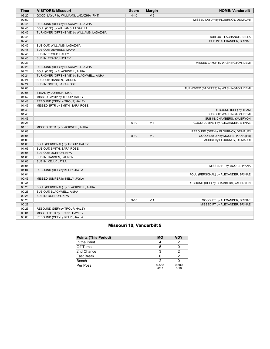| <b>Time</b> | <b>VISITORS: Missouri</b>                  | <b>Score</b> | <b>Margin</b>  | <b>HOME: Vanderbilt</b>                |
|-------------|--------------------------------------------|--------------|----------------|----------------------------------------|
| 03:20       | GOOD! LAYUP by WILLIAMS, LADAZHIA [PNT]    | $4 - 10$     | $V_6$          |                                        |
| 02:50       |                                            |              |                | MISSED LAYUP by FLOURNOY, DE'MAURI     |
| 02:45       | REBOUND (DEF) by BLACKWELL, AIJHA          |              |                |                                        |
| 02:45       | FOUL (OFF) by WILLIAMS, LADAZHIA           |              |                |                                        |
| 02:45       | TURNOVER (OFFENSIVE) by WILLIAMS, LADAZHIA |              |                |                                        |
| 02:45       |                                            |              |                | SUB OUT: LACHANCE, BELLA               |
| 02:45       |                                            |              |                | SUB IN: ALEXANDER, BRINAE              |
| 02:45       | SUB OUT: WILLIAMS, LADAZHIA                |              |                |                                        |
| 02:45       | SUB OUT: DEMBELE, MAMA                     |              |                |                                        |
| 02:45       | SUB IN: TROUP, HALEY                       |              |                |                                        |
| 02:45       | SUB IN: FRANK, HAYLEY                      |              |                |                                        |
| 02:33       |                                            |              |                | MISSED LAYUP by WASHINGTON, DEMI       |
| 02:28       | REBOUND (DEF) by BLACKWELL, AIJHA          |              |                |                                        |
| 02:24       | FOUL (OFF) by BLACKWELL, AIJHA             |              |                |                                        |
| 02:24       | TURNOVER (OFFENSIVE) by BLACKWELL, AIJHA   |              |                |                                        |
| 02:24       | SUB OUT: HANSEN, LAUREN                    |              |                |                                        |
| 02:24       | SUB IN: SMITH, SARA-ROSE                   |              |                |                                        |
| 02:06       |                                            |              |                | TURNOVER (BADPASS) by WASHINGTON, DEMI |
| 02:06       | STEAL by DORROH, KIYA                      |              |                |                                        |
| 01:52       | MISSED LAYUP by TROUP, HALEY               |              |                |                                        |
| 01:48       | REBOUND (OFF) by TROUP, HALEY              |              |                |                                        |
| 01:46       | MISSED 3PTR by SMITH, SARA-ROSE            |              |                |                                        |
| 01:43       |                                            |              |                | REBOUND (DEF) by TEAM                  |
| 01:43       |                                            |              |                | SUB OUT: WASHINGTON, DEMI              |
| 01:43       |                                            |              |                | SUB IN: CHAMBERS, YAUBRYON             |
| 01:28       |                                            | $6 - 10$     | V <sub>4</sub> | GOOD! JUMPER by ALEXANDER, BRINAE      |
| 01:13       | MISSED 3PTR by BLACKWELL, AIJHA            |              |                |                                        |
| 01:08       |                                            |              |                | REBOUND (DEF) by FLOURNOY, DE'MAURI    |
| 01:06       |                                            | $8 - 10$     | V <sub>2</sub> | GOOD! LAYUP by MOORE, IYANA [FB]       |
| 01:06       |                                            |              |                | ASSIST by FLOURNOY, DE'MAURI           |
| 01:06       | FOUL (PERSONAL) by TROUP, HALEY            |              |                |                                        |
| 01:06       | SUB OUT: SMITH, SARA-ROSE                  |              |                |                                        |
| 01:06       | SUB OUT: DORROH, KIYA                      |              |                |                                        |
| 01:06       | SUB IN: HANSEN, LAUREN                     |              |                |                                        |
| 01:06       | SUB IN: KELLY, JAYLA                       |              |                |                                        |
| 01:06       |                                            |              |                | MISSED FT by MOORE, IYANA              |
| 01:04       | REBOUND (DEF) by KELLY, JAYLA              |              |                |                                        |
| 01:04       |                                            |              |                | FOUL (PERSONAL) by ALEXANDER, BRINAE   |
| 00:43       | MISSED JUMPER by KELLY, JAYLA              |              |                |                                        |
| 00:41       |                                            |              |                | REBOUND (DEF) by CHAMBERS, YAUBRYON    |
| 00:28       | FOUL (PERSONAL) by BLACKWELL, AIJHA        |              |                |                                        |
| 00:28       | SUB OUT: BLACKWELL, AIJHA                  |              |                |                                        |
| 00:28       | SUB IN: DORROH, KIYA                       |              |                |                                        |
| 00:28       |                                            | $9 - 10$     | V <sub>1</sub> | GOOD! FT by ALEXANDER, BRINAE          |
| 00:28       |                                            |              |                | MISSED FT by ALEXANDER, BRINAE         |
| 00:26       | REBOUND (DEF) by TROUP, HALEY              |              |                |                                        |
| 00:01       | MISSED 3PTR by FRANK, HAYLEY               |              |                |                                        |
|             |                                            |              |                |                                        |
| 00:00       | REBOUND (OFF) by KELLY, JAYLA              |              |                |                                        |

# **Missouri 10, Vanderbilt 9**

| <b>Points (This Period)</b> | <b>MO</b>     | VDY           |
|-----------------------------|---------------|---------------|
| In the Paint                |               |               |
| Off Turns                   |               |               |
| 2nd Chance                  |               |               |
| Fast Break                  |               |               |
| Bench                       |               |               |
| Per Poss                    | 0.588<br>4/17 | 0.500<br>5/18 |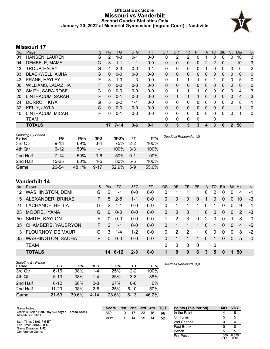# **Official Box Score Missouri vs Vanderbilt Second Quarter Statistics Only January 20, 2022 at Memorial Gymnasium (Ingram Court) - Nashville**



# **Missouri 17**

| No. | Plaver                    | S  | <b>Pts</b> | <b>FG</b> | 3FG     | <b>FT</b> | <b>OR</b>    | D <sub>R</sub> | <b>TR</b> | PF | A              | TO       | <b>B</b> lk | Stl            | Min            | $+/-$          |
|-----|---------------------------|----|------------|-----------|---------|-----------|--------------|----------------|-----------|----|----------------|----------|-------------|----------------|----------------|----------------|
| 01  | HANSEN, LAUREN            | G  | 2          | $1 - 3$   | $0 - 1$ | $0-0$     | 0            | 2              | 2         | 0  |                | 0        | 0           | 0              | 10             | 3              |
| 04  | DEMBELE, MAMA             | G  | 3          | $1 - 1$   | $1 - 1$ | $0 - 0$   | $\Omega$     | 0              | 0         | 0  | 2              | 2        | 0           |                | 10             | 3              |
| 13  | <b>TROUP, HALEY</b>       | G  | 4          | $2 - 3$   | $0 - 0$ | $0 - 1$   | 0            | $\Omega$       | 0         | 0  |                | $\Omega$ | 0           | 0              | 6              | 2              |
| 33  | <b>BLACKWELL, AIJHA</b>   | G  | 0          | $0 - 0$   | $0 - 0$ | $0 - 0$   | $\mathbf{0}$ | 0              | 0         | 0  | $\overline{0}$ | $\Omega$ | 0           | $\overline{0}$ | 0              | $\Omega$       |
| 43  | FRANK, HAYLEY             | F  | 3          | $1 - 3$   | $1 - 3$ | $0-0$     | $\Omega$     |                | 1         |    | 0              |          | 0           | $\Omega$       | 5              | 0              |
| 00  | <b>WILLIAMS, LADAZHIA</b> | F. | 0          | $0 - 0$   | $0 - 0$ | $0 - 0$   | $\Omega$     | $\Omega$       | 0         | 0  | $\Omega$       | $\Omega$ | 0           | $\Omega$       | $\Omega$       | $\Omega$       |
| 02  | SMITH, SARA-ROSE          | G  | 0          | $0 - 0$   | $0 - 0$ | $0 - 0$   | 0            |                | 1         |    | 0              | 0        | 0           | 0              | 4              | 3              |
| 20  | LINTHACUM, SARAH          | F  | 0          | $0 - 1$   | $0 - 0$ | $0 - 0$   | $\Omega$     |                | 1         |    | 0              | 0        | 0           | $\Omega$       | $\overline{4}$ | 3              |
| 24  | DORROH, KIYA              | G  | 5          | $2 - 2$   | $1 - 1$ | $0 - 0$   | 0            | 0              | 0         | 0  | 0              | 0        | 0           | $\Omega$       | 8              | 1              |
| 32  | <b>KELLY, JAYLA</b>       | C  | 0          | $0 - 0$   | $0 - 0$ | $0 - 0$   | $\Omega$     | $\Omega$       | 0         | 0  | $\Omega$       | $\Omega$ | $\Omega$    |                |                | $\overline{0}$ |
| 40  | LINTHACUM, MICAH          | F  | U          | $0 - 1$   | $0 - 0$ | $0 - 0$   | 0            | $\Omega$       | 0         | 0  | $\Omega$       | $\Omega$ | 0           | $\Omega$       | 1              | $\mathbf{0}$   |
|     | TEAM                      |    |            |           |         |           | $\Omega$     | $\Omega$       | 0         | 0  |                | $\Omega$ |             |                |                |                |
|     | <b>TOTALS</b>             |    | 17         | $7 - 14$  | $3 - 6$ | $0 - 1$   | 0            | 5              | 5         | 3  | 4              | 3        | 0           | $\mathbf{2}$   | 50             |                |

| <b>Shooting By Period</b><br>Period | FG        | FG%   | 3FG      | 3FG%  | FT      | FT%    | Deadball Rebounds: 1,0 |
|-------------------------------------|-----------|-------|----------|-------|---------|--------|------------------------|
| 3rd Qtr                             | $9 - 13$  | 69%   | 3-4      | 75%   | $2 - 2$ | 100%   |                        |
| 4th Qtr                             | $6 - 12$  | 50%   | $1 - 1$  | 100%  | $3-3$   | 100%   |                        |
| 2nd Half                            | 7-14      | 50%   | $3-6$    | 50%   | $0 - 1$ | $00\%$ |                        |
| 2nd Half                            | $15 - 25$ | 60%   | 4-5      | 80%   | $5 - 5$ | 100%   |                        |
| Game                                | 26-54     | 48.1% | $9 - 17$ | 52.9% | $5-9$   | 55.6%  |                        |

# **Vanderbilt 14**

| No. | Plaver                    | S  | <b>Pts</b> | <b>FG</b> | 3FG     | <b>FT</b> | OR       | <b>DR</b>     | TR       | PF       | A        | TO       | <b>Blk</b> | Stl      | Min | $+/-$        |
|-----|---------------------------|----|------------|-----------|---------|-----------|----------|---------------|----------|----------|----------|----------|------------|----------|-----|--------------|
| 12  | <b>WASHINGTON, DEMI</b>   | G  | 2          | 1-1       | $0 - 0$ | $0 - 0$   | 0        | 1             |          | 1        | 0        | 2        | 0          |          | 4   | -1           |
| 15  | ALEXANDER, BRINAE         | F. | 5          | $2 - 5$   | 1-1     | $0 - 0$   | 0        | 0             | $\Omega$ | $\Omega$ |          | 0        | 0          | $\Omega$ | 10  | $-3$         |
| 21  | LACHANCE, BELLA           | G  | 2          | 1-1       | $0 - 0$ | $0 - 0$   | 0        | 1             |          | 1        | $\Omega$ | 1        | 0          | $\Omega$ | 9   | -1           |
| 23  | MOORE, IYANA              | G  | $\Omega$   | $0 - 0$   | $0 - 0$ | $0 - 0$   | 0        | 0             | $\Omega$ | 1        | 0        | 0        | $\Omega$   | $\Omega$ | 2   | -3           |
| 50  | SMITH, KAYLON             | F  | $\Omega$   | $0 - 0$   | $0 - 0$ | $0 - 0$   | 1        | $\mathcal{P}$ | 3        | $\Omega$ | 2        | $\Omega$ | $\Omega$   |          | 8   | $\mathbf{0}$ |
| 05  | <b>CHAMBERS, YAUBRYON</b> | F. | 2          | $1 - 1$   | $0 - 0$ | $0 - 0$   | 0        |               |          |          | $\Omega$ |          | 0          | $\Omega$ | 4   | $-5$         |
| 13  | FLOURNOY, DE'MAURI        | G  | 3          | $1 - 4$   | $1 - 2$ | $0 - 0$   | $\Omega$ | 2             | 2        | 1        | $\Omega$ | $\Omega$ | 0          | $\Omega$ | 8   | $-2$         |
| 35  | <b>WASHINGTON, SACHA</b>  | F. | O          | $0 - 0$   | $0 - 0$ | $0 - 0$   | 0        | 1             |          | 1        | 0        |          | 0          | $\Omega$ | 5   | $\mathbf 0$  |
|     | <b>TEAM</b>               |    |            |           |         |           | 0        | $\mathbf 0$   | $\Omega$ | $\Omega$ |          | 0        |            |          |     |              |
|     | <b>TOTALS</b>             |    | 14         | $6-12$    | 2-3     | $0 - 0$   |          | 8             | 9        | 6        | 3        | 5        | O          |          | 50  |              |

| <b>Shooting By Period</b><br>Period | FG        | FG%   | 3FG      | 3FG%  | <b>FT</b> | FT%   | Deadball Rebounds: 3,0 |
|-------------------------------------|-----------|-------|----------|-------|-----------|-------|------------------------|
| 3rd Qtr                             | $6 - 16$  | 38%   | 1-4      | 25%   | $2 - 2$   | 100%  |                        |
| 4th Qtr                             | $5 - 13$  | 38%   | $1 - 4$  | 25%   | $3 - 8$   | 38%   |                        |
| 2nd Half                            | $6 - 12$  | 50%   | $2 - 3$  | 67%   | $0 - 0$   | 0%    |                        |
| 2nd Half                            | $11 - 29$ | 38%   | $2 - 8$  | 25%   | $5 - 10$  | 50%   |                        |
| Game                                | $21 - 53$ | 39.6% | $4 - 14$ | 28.6% | $6 - 13$  | 46.2% |                        |

| Game Notes:                                                           | <b>Score</b> | 1st | 2nd | 3rd | 4th | <b>TOT</b> | <b>Points (This Period)</b> | MО | <b>VDY</b> |
|-----------------------------------------------------------------------|--------------|-----|-----|-----|-----|------------|-----------------------------|----|------------|
| Officials: Brian Hall, Roy Gulbeyan, Teresa Stuck<br>Attendance: 1651 | МO           | 10  |     | 23  | 16  | 66         | In the Paint                |    |            |
|                                                                       | VDY          | a   | 14  | 15  |     | 52         | Off Turns                   |    |            |
| Start Time: 08:03 PM ET                                               |              |     |     |     |     |            | 2nd Chance                  |    |            |
| End Time: 09:55 PM ET<br>Game Duration: 1:52                          |              |     |     |     |     |            | <b>Fast Break</b>           |    |            |
| Conference Game:                                                      |              |     |     |     |     |            | Bench                       |    |            |

Per Poss

1.000<br>7/17

0.875 6/16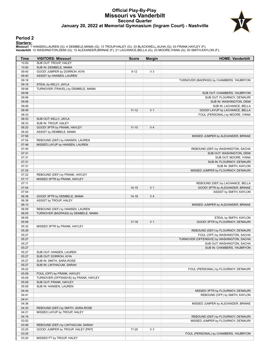# **Official Play-By-Play Missouri vs Vanderbilt Second Quarter January 20, 2022 at Memorial Gymnasium (Ingram Court) - Nashville**



#### **Period 2**

<mark>Startersː</mark><br>Missouri: 1 HANSEN,LAUREN (G); 4 DEMBELE,MAMA (G); 13 TROUP,HALEY (G); 33 BLACKWELL,AIJHA (G); 43 FRANK,HAYLEY (F);<br>**Vanderbilt**: 12 WASHINGTON,DEMI (G); 15 ALEXANDER,BRINAE (F); 21 LACHANCE,BELLA (G); 23 MOORE

| Time  | <b>VISITORS: Missouri</b>             | <b>Score</b> | <b>Margin</b>  | <b>HOME: Vanderbilt</b>                   |
|-------|---------------------------------------|--------------|----------------|-------------------------------------------|
| 10:00 | SUB OUT: TROUP, HALEY                 |              |                |                                           |
| 10:00 | SUB IN: DEMBELE, MAMA                 |              |                |                                           |
| 09:40 | GOOD! JUMPER by DORROH, KIYA          | $9 - 12$     | $V_3$          |                                           |
| 09:40 | ASSIST by HANSEN, LAUREN              |              |                |                                           |
| 09:18 |                                       |              |                | TURNOVER (BADPASS) by CHAMBERS, YAUBRYON  |
| 09:18 | STEAL by KELLY, JAYLA                 |              |                |                                           |
| 09:06 | TURNOVER (TRAVEL) by DEMBELE, MAMA    |              |                |                                           |
| 09:06 |                                       |              |                | SUB OUT: CHAMBERS, YAUBRYON               |
| 09:06 |                                       |              |                | SUB OUT: FLOURNOY, DE'MAURI               |
| 09:06 |                                       |              |                | SUB IN: WASHINGTON, DEMI                  |
| 09:06 |                                       |              |                | SUB IN: LACHANCE, BELLA                   |
| 08:49 |                                       | $11 - 12$    | V <sub>1</sub> | GOOD! LAYUP by LACHANCE, BELLA            |
| 08:33 |                                       |              |                | FOUL (PERSONAL) by MOORE, IYANA           |
| 08:33 | SUB OUT: KELLY, JAYLA                 |              |                |                                           |
| 08:33 | SUB IN: TROUP, HALEY                  |              |                |                                           |
| 08:20 | GOOD! 3PTR by FRANK, HAYLEY           | $11 - 15$    | V <sub>4</sub> |                                           |
| 08:20 | ASSIST by DEMBELE, MAMA               |              |                |                                           |
| 07:58 |                                       |              |                | MISSED JUMPER by ALEXANDER, BRINAE        |
| 07:54 | REBOUND (DEF) by HANSEN, LAUREN       |              |                |                                           |
| 07:48 | MISSED LAYUP by HANSEN, LAUREN        |              |                |                                           |
| 07:45 |                                       |              |                | REBOUND (DEF) by WASHINGTON, SACHA        |
| 07:31 |                                       |              |                | SUB OUT: WASHINGTON, DEMI                 |
| 07:31 |                                       |              |                | SUB OUT: MOORE, IYANA                     |
| 07:31 |                                       |              |                | SUB IN: FLOURNOY, DE'MAURI                |
| 07:31 |                                       |              |                | SUB IN: SMITH, KAYLON                     |
| 07:25 |                                       |              |                |                                           |
| 07:22 |                                       |              |                | MISSED JUMPER by FLOURNOY, DE'MAURI       |
|       | REBOUND (DEF) by FRANK, HAYLEY        |              |                |                                           |
| 07:17 | MISSED 3PTR by FRANK, HAYLEY          |              |                |                                           |
| 07:11 |                                       |              |                | REBOUND (DEF) by LACHANCE, BELLA          |
| 07:04 |                                       | $14 - 15$    | V <sub>1</sub> | GOOD! 3PTR by ALEXANDER, BRINAE           |
| 07:04 |                                       |              |                | ASSIST by SMITH, KAYLON                   |
| 06:38 | GOOD! 3PTR by DEMBELE, MAMA           | $14 - 18$    | V <sub>4</sub> |                                           |
| 06:38 | ASSIST by TROUP, HALEY                |              |                |                                           |
| 06:13 |                                       |              |                | MISSED JUMPER by ALEXANDER, BRINAE        |
| 06:09 | REBOUND (DEF) by HANSEN, LAUREN       |              |                |                                           |
| 06:05 | TURNOVER (BADPASS) by DEMBELE, MAMA   |              |                |                                           |
| 06:05 |                                       |              |                | STEAL by SMITH, KAYLON                    |
| 05:56 |                                       | $17-18$      | V <sub>1</sub> | GOOD! 3PTR by FLOURNOY, DE'MAURI          |
| 05:32 | MISSED 3PTR by FRANK, HAYLEY          |              |                |                                           |
| 05:29 |                                       |              |                | REBOUND (DEF) by FLOURNOY, DE'MAURI       |
| 05:27 |                                       |              |                | FOUL (OFF) by WASHINGTON, SACHA           |
| 05:27 |                                       |              |                | TURNOVER (OFFENSIVE) by WASHINGTON, SACHA |
| 05:27 |                                       |              |                | SUB OUT: WASHINGTON, SACHA                |
| 05:27 |                                       |              |                | SUB IN: CHAMBERS, YAUBRYON                |
| 05:27 | SUB OUT: HANSEN, LAUREN               |              |                |                                           |
| 05:27 | SUB OUT: DORROH, KIYA                 |              |                |                                           |
| 05:27 | SUB IN: SMITH, SARA-ROSE              |              |                |                                           |
| 05:27 | SUB IN: LINTHACUM, SARAH              |              |                |                                           |
| 05:22 |                                       |              |                | FOUL (PERSONAL) by FLOURNOY, DE'MAURI     |
| 05:09 | FOUL (OFF) by FRANK, HAYLEY           |              |                |                                           |
| 05:09 | TURNOVER (OFFENSIVE) by FRANK, HAYLEY |              |                |                                           |
| 05:09 | SUB OUT: FRANK, HAYLEY                |              |                |                                           |
| 05:09 | SUB IN: HANSEN, LAUREN                |              |                |                                           |
| 04:44 |                                       |              |                | MISSED 3PTR by FLOURNOY, DE'MAURI         |
| 04:41 |                                       |              |                | REBOUND (OFF) by SMITH, KAYLON            |
| 04:41 |                                       |              |                |                                           |
| 04:36 |                                       |              |                | MISSED JUMPER by ALEXANDER, BRINAE        |
| 04:33 | REBOUND (DEF) by SMITH, SARA-ROSE     |              |                |                                           |
| 04:21 | MISSED LAYUP by TROUP, HALEY          |              |                |                                           |
| 04:16 |                                       |              |                | REBOUND (DEF) by FLOURNOY, DE'MAURI       |
| 03:52 |                                       |              |                | MISSED JUMPER by FLOURNOY, DE'MAURI       |
| 03:48 | REBOUND (DEF) by LINTHACUM, SARAH     |              |                |                                           |
| 03:25 | GOOD! JUMPER by TROUP, HALEY [PNT]    | 17-20        | $V_3$          |                                           |
| 03:25 |                                       |              |                | FOUL (PERSONAL) by CHAMBERS, YAUBRYON     |
| 03:24 | MISSED FT by TROUP, HALEY             |              |                |                                           |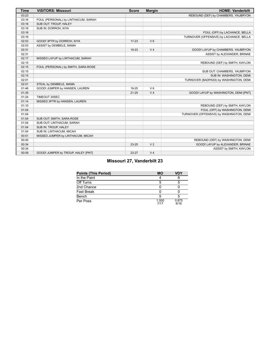| <b>Time</b> | <b>VISITORS: Missouri</b>           | <b>Score</b> | <b>Margin</b>  | <b>HOME: Vanderbilt</b>                  |
|-------------|-------------------------------------|--------------|----------------|------------------------------------------|
| 03:23       |                                     |              |                | REBOUND (DEF) by CHAMBERS, YAUBRYON      |
| 03:16       | FOUL (PERSONAL) by LINTHACUM, SARAH |              |                |                                          |
| 03:16       | SUB OUT: TROUP, HALEY               |              |                |                                          |
| 03:16       | SUB IN: DORROH, KIYA                |              |                |                                          |
| 03:16       |                                     |              |                | FOUL (OFF) by LACHANCE, BELLA            |
| 03:16       |                                     |              |                | TURNOVER (OFFENSIVE) by LACHANCE, BELLA  |
| 02:53       | GOOD! 3PTR by DORROH, KIYA          | $17 - 23$    | $V_6$          |                                          |
| 02:53       | ASSIST by DEMBELE, MAMA             |              |                |                                          |
| 02:31       |                                     | 19-23        | V <sub>4</sub> | GOOD! LAYUP by CHAMBERS, YAUBRYON        |
| 02:31       |                                     |              |                | ASSIST by ALEXANDER, BRINAE              |
| 02:17       | MISSED LAYUP by LINTHACUM, SARAH    |              |                |                                          |
| 02:15       |                                     |              |                | REBOUND (DEF) by SMITH, KAYLON           |
| 02:15       | FOUL (PERSONAL) by SMITH, SARA-ROSE |              |                |                                          |
| 02:15       |                                     |              |                | SUB OUT: CHAMBERS, YAUBRYON              |
| 02:15       |                                     |              |                | SUB IN: WASHINGTON, DEMI                 |
| 02:01       |                                     |              |                | TURNOVER (BADPASS) by WASHINGTON, DEMI   |
| 02:01       | STEAL by DEMBELE, MAMA              |              |                |                                          |
| 01:46       | GOOD! JUMPER by HANSEN, LAUREN      | 19-25        | $V_6$          |                                          |
| 01:35       |                                     | $21 - 25$    | V <sub>4</sub> | GOOD! LAYUP by WASHINGTON, DEMI [PNT]    |
| 01:24       | TIMEOUT 30SEC                       |              |                |                                          |
| 01:14       | MISSED 3PTR by HANSEN, LAUREN       |              |                |                                          |
| 01:10       |                                     |              |                | REBOUND (DEF) by SMITH, KAYLON           |
| 01:04       |                                     |              |                | FOUL (OFF) by WASHINGTON, DEMI           |
| 01:04       |                                     |              |                | TURNOVER (OFFENSIVE) by WASHINGTON, DEMI |
| 01:04       | SUB OUT: SMITH, SARA-ROSE           |              |                |                                          |
| 01:04       | SUB OUT: LINTHACUM, SARAH           |              |                |                                          |
| 01:04       | SUB IN: TROUP, HALEY                |              |                |                                          |
| 01:04       | SUB IN: LINTHACUM, MICAH            |              |                |                                          |
| 00:51       | MISSED JUMPER by LINTHACUM, MICAH   |              |                |                                          |
| 00:45       |                                     |              |                | REBOUND (DEF) by WASHINGTON, DEMI        |
| 00:34       |                                     | $23 - 25$    | V <sub>2</sub> | GOOD! LAYUP by ALEXANDER, BRINAE         |
| 00:34       |                                     |              |                | ASSIST by SMITH, KAYLON                  |
| 00:09       | GOOD! JUMPER by TROUP, HALEY [PNT]  | 23-27        | V <sub>4</sub> |                                          |

# **Missouri 27, Vanderbilt 23**

| <b>Points (This Period)</b> | <b>MO</b>     | VDY           |
|-----------------------------|---------------|---------------|
| In the Paint                |               |               |
| Off Turns                   |               |               |
| 2nd Chance                  |               |               |
| Fast Break                  |               |               |
| Bench                       |               |               |
| Per Poss                    | 1.000<br>7/17 | 0.875<br>6/16 |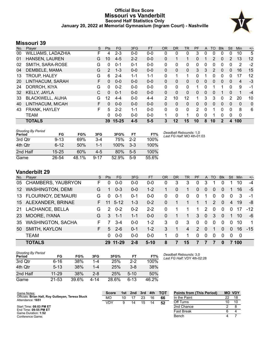# **Official Box Score Missouri vs Vanderbilt Second Half Statistics Only January 20, 2022 at Memorial Gymnasium (Ingram Court) - Nashville**



# **Missouri 39**

| No. | Plaver                    | S  | <b>Pts</b> | <b>FG</b> | 3FG     | <b>FT</b> | <b>OR</b> | <b>DR</b> | TR | <b>PF</b> | $\mathsf{A}$ | TO           | <b>B</b> lk | Stl      | <b>Min</b> | $+/-$ |
|-----|---------------------------|----|------------|-----------|---------|-----------|-----------|-----------|----|-----------|--------------|--------------|-------------|----------|------------|-------|
| 00  | <b>WILLIAMS, LADAZHIA</b> | F  | 4          | $2 - 3$   | $0 - 0$ | $0-0$     | 0         | 0         | 0  | 3         | 0            | 0            | 0           | 0        | 10         | 5     |
| 01  | HANSEN, LAUREN            | G  | 10         | $4 - 5$   | $2 - 2$ | $0 - 0$   | 0         | 1         | 1  | 0         |              | 2            | 0           | 2        | 13         | 12    |
| 02  | SMITH, SARA-ROSE          | G  | 0          | $0 - 1$   | $0 - 1$ | $0 - 0$   | 0         | 0         | 0  | 0         | 0            | 0            | $\Omega$    | 0        | 2          | $-2$  |
| 04  | DEMBELE, MAMA             | G  | 2          | $1 - 3$   | $0 - 0$ | $0 - 0$   | 0         | 0         | 0  | 3         | 3            | 2            | $\Omega$    | 0        | 16         | 15    |
| 13  | <b>TROUP, HALEY</b>       | G  | 6          | $2 - 4$   | $1 - 1$ | $1 - 1$   | 0         | 1         | 1  | 0         |              | 0            | 0           | $\Omega$ | 17         | 12    |
| 20  | LINTHACUM, SARAH          | F. | $\Omega$   | $0 - 0$   | $0 - 0$ | $0 - 0$   | 0         | $\Omega$  | 0  | 0         | 0            | $\Omega$     | $\Omega$    | 0        | 4          | $-3$  |
| 24  | DORROH, KIYA              | G  | 0          | $0 - 2$   | $0 - 0$ | $0 - 0$   | 0         | 0         | 0  | 1         | 0            |              |             | 0        | 9          | -1    |
| 32  | KELLY, JAYLA              | С  | $\Omega$   | $0 - 1$   | $0 - 0$ | $0 - 0$   | 0         | 0         | 0  | 0         | 0            | 0            |             | 0        | 1          | $-4$  |
| 33  | <b>BLACKWELL, AIJHA</b>   | G  | 12         | 4-4       | $0 - 0$ | $4 - 4$   | 2         | 10        | 12 | 1         | 3            | 3            | $\Omega$    | 2        | 20         | 10    |
| 40  | LINTHACUM, MICAH          | F. | $\Omega$   | $0 - 0$   | $0 - 0$ | $0 - 0$   | $\Omega$  | $\Omega$  | 0  | 0         | 0            | $\mathbf{0}$ | $\Omega$    | 0        | $\Omega$   | 0     |
| 43  | FRANK, HAYLEY             | F  | 5          | $2 - 2$   | $1 - 1$ | $0 - 0$   | 0         | $\Omega$  | 0  | 2         | 0            | 1            | 0           | $\Omega$ | 8          | 6     |
|     | <b>TEAM</b>               |    | 0          | $0 - 0$   | $0 - 0$ | $0 - 0$   | 1         | $\Omega$  | 1  | $\Omega$  | 0            |              | $\Omega$    | 0        | 0          |       |
|     | <b>TOTALS</b>             |    | 39         | $15 - 25$ | 4-5     | $5-5$     | 3         | 12        | 15 | 10        | 8            | 10           | 2           | 4        | 100        |       |

| <b>Shooting By Period</b><br>Period | FG        | FG%   | 3FG      | 3FG%  | FT      | FT%   | De<br>La |
|-------------------------------------|-----------|-------|----------|-------|---------|-------|----------|
| 3rd Qtr                             | $9 - 13$  | 69%   | $3-4$    | 75%   | $2-2$   | 100%  |          |
| 4th Qtr                             | $6-12$    | 50%   | $1 - 1$  | 100%  | $3 - 3$ | 100%  |          |
| 2nd Half                            | $15 - 25$ | 60%   | $4 - 5$  | 80%   | $5-5$   | 100%  |          |
| Game                                | 26-54     | 48.1% | $9 - 17$ | 52.9% | $5-9$   | 55.6% |          |

*Deadball Rebounds:* 1,0 *Last FG Half:* MO 4th-01:03

# **Vanderbilt 29**

| No.             | Plaver                    | S. | <b>Pts</b>    | FG.      | 3FG     | FT       | OR | DR       | TR       | <b>PF</b>     | A        | TO             | <b>Blk</b> | Stl      | Min.     | $+/-$ |
|-----------------|---------------------------|----|---------------|----------|---------|----------|----|----------|----------|---------------|----------|----------------|------------|----------|----------|-------|
| 05              | CHAMBERS, YAUBRYON        | F  | 0             | $0 - 0$  | $0 - 0$ | $0 - 0$  | 0  | 3        | 3        | 0             | 3        |                |            |          | 10       | $-4$  |
| 12 <sup>1</sup> | <b>WASHINGTON, DEMI</b>   | G  | 1             | $0 - 3$  | $0 - 0$ | $1 - 2$  |    | $\Omega$ |          | $\Omega$      | 0        | 0              | $\Omega$   |          | 16       | $-5$  |
| 13              | <b>FLOURNOY, DE'MAURI</b> | G  | 0             | $0 - 1$  | $0 - 1$ | $0 - 0$  | 0  | $\Omega$ | $\Omega$ | $\Omega$      | 1        | 0              | $\Omega$   | 0        | 3        | -1    |
| 15              | ALEXANDER, BRINAE         |    |               | $5-12$   | 1-3     | $0 - 2$  | 0  |          |          |               | 1        | $\overline{2}$ | $\Omega$   | 4        | 19       | -8    |
| 21              | LACHANCE, BELLA           | G  | $\mathcal{P}$ | $0 - 2$  | $0 - 2$ | $2 - 2$  | 0  |          |          | 1.            | 2        | $\Omega$       | $\Omega$   | $\Omega$ | 17       | $-12$ |
| 23              | MOORE, IYANA              | G  | 3             | $1 - 1$  | $1 - 1$ | $0-0$    | 0  |          |          | 3             | $\Omega$ | 3              | $\Omega$   |          | 10       | -6    |
| 35              | <b>WASHINGTON, SACHA</b>  | F. |               | $3-4$    | $0 - 0$ | $1 - 2$  | 3  | $\Omega$ | 3        | $\Omega$      | $\Omega$ | $\Omega$       | $\Omega$   | $\Omega$ | 10       |       |
| 50              | SMITH, KAYLON             | F. | 5             | $2 - 6$  | $0 - 1$ | $1 - 2$  | 3  | 1        | 4        | $\mathcal{P}$ | $\Omega$ | 1              | $\Omega$   | $\Omega$ | 16       | $-15$ |
|                 | <b>TEAM</b>               |    | 0             | $0 - 0$  | $0 - 0$ | $0 - 0$  |    | $\Omega$ |          | $\Omega$      | $\Omega$ | $\Omega$       | $\Omega$   | $\Omega$ | $\Omega$ |       |
|                 | <b>TOTALS</b>             |    |               | 29 11-29 | $2 - 8$ | $5 - 10$ | 8  | 7        | 15       | 7             |          | 7              | $\bf{0}$   |          | 7 100    |       |

| Shooting By Period<br>Period | FG       | FG%   | 3FG     | 3FG%  | FТ       | FT%   |
|------------------------------|----------|-------|---------|-------|----------|-------|
| 3rd Qtr                      | $6 - 16$ | 38%   | 1-4     | 25%   | $2-2$    | 100%  |
| 4th Qtr                      | $5 - 13$ | 38%   | 1-4     | 25%   | $3 - 8$  | 38%   |
| 2nd Half                     | 11-29    | 38%   | $2 - 8$ | 25%   | $5 - 10$ | 50%   |
| Game                         | 21-53    | 39.6% | 4-14    | 28.6% | $6-13$   | 46.2% |

*Deadball Rebounds:* 3,0 *Last FG Half:* VDY 4th-02:28

| Game Notes:                                                           | <b>Score</b> | 1st | 2nd | 3rd | 4th | <b>TOT</b> | <b>Points from (This Period)</b> |    | <b>MO VDY</b> |
|-----------------------------------------------------------------------|--------------|-----|-----|-----|-----|------------|----------------------------------|----|---------------|
| Officials: Brian Hall, Roy Gulbeyan, Teresa Stuck<br>Attendance: 1651 | MО           | 10  |     | 23  | 16  | 66         | In the Paint                     | 22 | 18            |
|                                                                       | VDY          |     | 14  | 15  | 14  | 52         | Off Turns                        |    | 10            |
| Start Time: 08:03 PM ET                                               |              |     |     |     |     |            | 2nd Chance                       |    |               |
| End Time: 09:55 PM ET<br>Game Duration: 1:52                          |              |     |     |     |     |            | Fast Break                       |    |               |
| Conference Game:                                                      |              |     |     |     |     |            | Bench                            | 4  |               |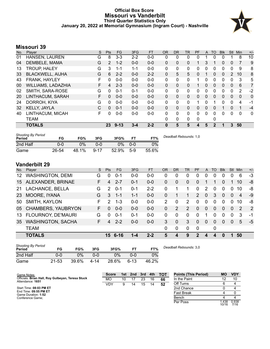# **Official Box Score Missouri vs Vanderbilt Third Quarter Statistics Only January 20, 2022 at Memorial Gymnasium (Ingram Court) - Nashville**



# **Missouri 39**

| No. | Plaver                    | S | Pts      | <b>FG</b> | 3FG     | <b>FT</b> | <b>OR</b>    | <b>DR</b>    | <b>TR</b> | PF       | A        | TO             | <b>B</b> lk | Stl          | Min      | $+/-$    |
|-----|---------------------------|---|----------|-----------|---------|-----------|--------------|--------------|-----------|----------|----------|----------------|-------------|--------------|----------|----------|
| 01  | HANSEN, LAUREN            | G | 8        | $3 - 3$   | $2 - 2$ | $0-0$     | 0            | 0            | 0         | O        |          | 0              | 0           |              | 8        | 10       |
| 04  | DEMBELE, MAMA             | G | 2        | $1 - 2$   | $0 - 0$ | $0 - 0$   | $\Omega$     | $\Omega$     | 0         | 1        | 3        |                | 0           | $\mathbf{0}$ | 7        | 9        |
| 13  | <b>TROUP, HALEY</b>       | G | 3        | 1-1       | $1 - 1$ | $0 - 0$   | 0            | 0            | 0         | 0        | 0        | 0              | 0           | 0            | 9        | 8        |
| 33  | <b>BLACKWELL, AIJHA</b>   | G | 6        | $2 - 2$   | $0 - 0$ | $2 - 2$   | $\Omega$     | 5            | 5         | $\Omega$ |          | $\Omega$       | $\Omega$    | 2            | 10       | 8        |
| 43  | FRANK, HAYLEY             | F | 0        | $0 - 0$   | $0 - 0$ | $0 - 0$   | $\Omega$     | $\Omega$     | 0         | 1        | 0        | $\Omega$       | 0           | $\Omega$     | 3        | 5        |
| 00  | <b>WILLIAMS, LADAZHIA</b> | F | 4        | $2 - 3$   | $0 - 0$ | $0 - 0$   | $\mathbf{0}$ | 0            | 0         |          | 0        | $\Omega$       | 0           | $\Omega$     | 6        | 7        |
| 02  | SMITH, SARA-ROSE          | G | 0        | $0 - 1$   | $0 - 1$ | $0 - 0$   | 0            | 0            | 0         | 0        | 0        | 0              | 0           | 0            | 2        | $-2$     |
| 20  | LINTHACUM, SARAH          | F | 0        | $0 - 0$   | $0 - 0$ | $0 - 0$   | $\Omega$     | 0            | 0         | 0        | 0        | $\Omega$       | $\Omega$    | $\Omega$     | 0        | $\Omega$ |
| 24  | DORROH, KIYA              | G | $\Omega$ | $0 - 0$   | $0 - 0$ | $0 - 0$   | 0            | 0            | 0         |          | 0        |                | 0           | $\Omega$     | 4        | $-1$     |
| 32  | <b>KELLY, JAYLA</b>       | C | 0        | $0 - 1$   | $0 - 0$ | $0 - 0$   | $\Omega$     | $\Omega$     | 0         | 0        | $\Omega$ | $\Omega$       |             | $\Omega$     | 1        | $-4$     |
| 40  | LINTHACUM, MICAH          | F | 0        | $0 - 0$   | $0-0$   | $0 - 0$   | 0            | $\Omega$     | 0         | 0        | $\Omega$ | $\Omega$       | 0           | $\Omega$     | $\Omega$ | 0        |
|     | <b>TEAM</b>               |   |          |           |         |           | 0            | $\mathbf{0}$ | 0         | 0        |          | 0              |             |              |          |          |
|     | <b>TOTALS</b>             |   | 23       | $9 - 13$  | $3 - 4$ | $2 - 2$   | 0            | 5            | 5         | 4        | 5        | $\overline{2}$ |             | 3            | 50       |          |

| <b>Shooting By Period</b><br>Period | FG    | FG%   | 3FG      | 3FG%  | <b>FT</b> | FT%   | Deadball Rebounds: 1,0 |
|-------------------------------------|-------|-------|----------|-------|-----------|-------|------------------------|
| 2nd Half                            | 0-0   | 0%    | 0-0      | 0%    | $0 - 0$   | 0%    |                        |
| Game                                | 26-54 | 48.1% | $9 - 17$ | 52.9% | $5-9$     | 55.6% |                        |

# **Vanderbilt 29**

| No. | Player                   | S  | <b>Pts</b>    | FG.     | 3FG     | FT      | OR            | DR       | TR       | <b>PF</b>      | A            | TO       | <b>Blk</b> | Stl      | Min | $+/-$          |
|-----|--------------------------|----|---------------|---------|---------|---------|---------------|----------|----------|----------------|--------------|----------|------------|----------|-----|----------------|
| 12  | <b>WASHINGTON, DEMI</b>  | G  | 0             | $0 - 1$ | $0 - 0$ | $0 - 0$ | 0             | 0        | 0        | 0              | 0            | 0        | 0          |          | 6   | $-3$           |
| 15  | ALEXANDER, BRINAE        | F. | 4             | $2 - 7$ | $0 - 1$ | $0-0$   | 0             | 0        | $\Omega$ | $\Omega$       |              |          | 0          |          | 10  | -8             |
| 21  | LACHANCE, BELLA          | G  | 2             | $0 - 1$ | $0 - 1$ | $2 - 2$ | 0             | 1        |          | $\Omega$       | 2            | $\Omega$ | 0          | 0        | 10  | -8             |
| 23  | MOORE, IYANA             | G  | 3             | $1 - 1$ | $1 - 1$ | $0-0$   | 0             |          |          | $\overline{2}$ | $\mathbf 0$  | 3        | $\Omega$   | $\Omega$ | 4   | $-9$           |
| 50  | SMITH, KAYLON            | F. | $\mathcal{P}$ | $1 - 3$ | $0 - 0$ | $0 - 0$ | $\mathcal{P}$ | 0        | 2        | $\Omega$       | $\Omega$     | $\Omega$ | 0          | 0        | 10  | -8             |
|     | 05 CHAMBERS, YAUBRYON    | F. | 0             | $0 - 0$ | $0 - 0$ | $0 - 0$ | 0             | 2        | 2        | $\Omega$       | $\mathbf{0}$ | $\Omega$ | $\Omega$   | $\Omega$ | 2   | $\overline{2}$ |
| 13  | FLOURNOY, DE'MAURI       | G  | $\Omega$      | $0 - 1$ | $0 - 1$ | $0 - 0$ | $\Omega$      | 0        | $\Omega$ | $\Omega$       | 1            | $\Omega$ | $\Omega$   | $\Omega$ | 3   | -1             |
| 35  | <b>WASHINGTON, SACHA</b> | F. | 4             | $2 - 2$ | $0 - 0$ | $0 - 0$ | 3             | $\Omega$ | 3        | $\Omega$       | $\mathbf{0}$ | $\Omega$ | $\Omega$   | $\Omega$ | 5   | $-5$           |
|     | <b>TEAM</b>              |    |               |         |         |         | $\Omega$      | 0        | $\Omega$ | $\Omega$       |              | 0        |            |          |     |                |
|     | <b>TOTALS</b>            |    |               | 15 6-16 | 1-4     | $2 - 2$ | 5             | 4        | 9        | $\overline{2}$ | 4            | 4        | 0          |          | 50  |                |
|     |                          |    |               |         |         |         |               |          |          |                |              |          |            |          |     |                |

| <b>Shooting By Period</b><br>Period | FG    | FG%   | 3FG  | 3FG%  | FТ       | FT%   |
|-------------------------------------|-------|-------|------|-------|----------|-------|
| 2nd Half                            | 0-0   | $0\%$ | 0-0  | $0\%$ | 0-0      | $0\%$ |
| Game                                | 21-53 | 39.6% | 4-14 | 28.6% | $6 - 13$ | 46.2% |

*Deadball Rebounds:* 3,0

| Game Notes:                                                           | <b>Score</b> | 1st l | 2nd | 3rd | 4th | тот | <b>Points (This Period)</b> | <b>MO</b>     | <b>VDY</b>    |
|-----------------------------------------------------------------------|--------------|-------|-----|-----|-----|-----|-----------------------------|---------------|---------------|
| Officials: Brian Hall, Roy Gulbeyan, Teresa Stuck<br>Attendance: 1651 | МO           | 10    |     | 23  | 16  | 66  | In the Paint                |               | 10            |
|                                                                       | <b>VDY</b>   | 9     |     | 15  | 14  | 52  | Off Turns                   |               |               |
| Start Time: 08:03 PM ET                                               |              |       |     |     |     |     | 2nd Chance                  |               |               |
| End Time: 09:55 PM ET<br>Game Duration: 1:52                          |              |       |     |     |     |     | <b>Fast Break</b>           |               |               |
| Conference Game;                                                      |              |       |     |     |     |     | Bench                       |               |               |
|                                                                       |              |       |     |     |     |     | Per Poss                    | .438<br>10/16 | 0.938<br>7/16 |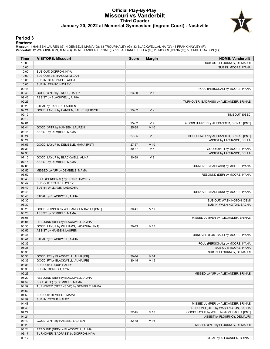# **Official Play-By-Play Missouri vs Vanderbilt Third Quarter January 20, 2022 at Memorial Gymnasium (Ingram Court) - Nashville**



### **Period 3**

<mark>Startersː</mark><br>Missouri: 1 HANSEN,LAUREN (G); 4 DEMBELE,MAMA (G); 13 TROUP,HALEY (G); 33 BLACKWELL,AIJHA (G); 43 FRANK,HAYLEY (F);<br>**Vanderbilt**: 12 WASHINGTON,DEMI (G); 15 ALEXANDER,BRINAE (F); 21 LACHANCE,BELLA (G); 23 MOORE

| Time           | <b>VISITORS: Missouri</b>                | <b>Score</b> | <b>Margin</b>   | <b>HOME: Vanderbilt</b>                                             |
|----------------|------------------------------------------|--------------|-----------------|---------------------------------------------------------------------|
| 10:00          |                                          |              |                 | SUB OUT: FLOURNOY, DE'MAURI                                         |
| 10:00          |                                          |              |                 | SUB IN: MOORE, IYANA                                                |
| 10:00          | SUB OUT: DORROH, KIYA                    |              |                 |                                                                     |
| 10:00          | SUB OUT: LINTHACUM, MICAH                |              |                 |                                                                     |
| 10:00          | SUB IN: BLACKWELL, AIJHA                 |              |                 |                                                                     |
| 10:00          | SUB IN: FRANK, HAYLEY                    |              |                 |                                                                     |
| 09:48          |                                          |              |                 | FOUL (PERSONAL) by MOORE, IYANA                                     |
| 09:43          | GOOD! 3PTR by TROUP, HALEY               | 23-30        | V <sub>7</sub>  |                                                                     |
| 09:43          | ASSIST by BLACKWELL, AIJHA               |              |                 |                                                                     |
| 09:26          |                                          |              |                 | TURNOVER (BADPASS) by ALEXANDER, BRINAE                             |
| 09:26          | STEAL by HANSEN, LAUREN                  |              |                 |                                                                     |
| 09:21          | GOOD! LAYUP by HANSEN, LAUREN [FB/PNT]   | 23-32        | V <sub>9</sub>  |                                                                     |
| 09:19          |                                          |              |                 | TIMEOUT 30SEC                                                       |
| 09:19          |                                          |              |                 |                                                                     |
| 09:01          |                                          | 25-32        | V <sub>7</sub>  | GOOD! JUMPER by ALEXANDER, BRINAE [PNT]                             |
| 08:44<br>08:44 | GOOD! 3PTR by HANSEN, LAUREN             | 25-35        | $V$ 10          |                                                                     |
| 08:24          | ASSIST by DEMBELE, MAMA                  |              | V8              |                                                                     |
| 08:24          |                                          | 27-35        |                 | GOOD! LAYUP by ALEXANDER, BRINAE [PNT]<br>ASSIST by LACHANCE, BELLA |
| 07:53          | GOOD! LAYUP by DEMBELE, MAMA [PNT]       | 27-37        | $V$ 10          |                                                                     |
| 07:33          |                                          | 30-37        | V <sub>7</sub>  | GOOD! 3PTR by MOORE, IYANA                                          |
| 07:33          |                                          |              |                 | ASSIST by LACHANCE, BELLA                                           |
| 07:15          | GOOD! LAYUP by BLACKWELL, AIJHA          | 30-39        | V <sub>9</sub>  |                                                                     |
| 07:15          | ASSIST by DEMBELE, MAMA                  |              |                 |                                                                     |
| 07:05          |                                          |              |                 | TURNOVER (BADPASS) by MOORE, IYANA                                  |
| 06:55          | MISSED LAYUP by DEMBELE, MAMA            |              |                 |                                                                     |
| 06:52          |                                          |              |                 | REBOUND (DEF) by MOORE, IYANA                                       |
| 06:49          | FOUL (PERSONAL) by FRANK, HAYLEY         |              |                 |                                                                     |
| 06:49          | SUB OUT: FRANK, HAYLEY                   |              |                 |                                                                     |
| 06:49          | SUB IN: WILLIAMS, LADAZHIA               |              |                 |                                                                     |
| 06:43          |                                          |              |                 | TURNOVER (BADPASS) by MOORE, IYANA                                  |
| 06:43          | STEAL by BLACKWELL, AIJHA                |              |                 |                                                                     |
| 06:30          |                                          |              |                 | SUB OUT: WASHINGTON, DEMI                                           |
| 06:30          |                                          |              |                 | SUB IN: WASHINGTON, SACHA                                           |
| 06:28          | GOOD! JUMPER by WILLIAMS, LADAZHIA [PNT] | $30 - 41$    | $V$ 11          |                                                                     |
| 06:28          | ASSIST by DEMBELE, MAMA                  |              |                 |                                                                     |
| 06:08          |                                          |              |                 | MISSED JUMPER by ALEXANDER, BRINAE                                  |
| 06:01          | REBOUND (DEF) by BLACKWELL, AIJHA        |              |                 |                                                                     |
| 05:55          | GOOD! LAYUP by WILLIAMS, LADAZHIA [PNT]  | $30 - 43$    | V <sub>13</sub> |                                                                     |
| 05:55          | ASSIST by HANSEN, LAUREN                 |              |                 |                                                                     |
| 05:41          |                                          |              |                 | TURNOVER (LOSTBALL) by MOORE, IYANA                                 |
| 05:41          | STEAL by BLACKWELL, AIJHA                |              |                 |                                                                     |
| 05:36          |                                          |              |                 | FOUL (PERSONAL) by MOORE, IYANA                                     |
| 05:36          |                                          |              |                 | SUB OUT: MOORE, IYANA                                               |
| 05:36          |                                          |              |                 | SUB IN: FLOURNOY, DE'MAURI                                          |
| 05:36          | GOOD! FT by BLACKWELL, AIJHA [FB]        | $30 - 44$    | V <sub>14</sub> |                                                                     |
| 05:36          | GOOD! FT by BLACKWELL, AIJHA [FB]        | $30 - 45$    | V <sub>15</sub> |                                                                     |
| 05:36          | SUB OUT: TROUP, HALEY                    |              |                 |                                                                     |
| 05:36          | SUB IN: DORROH, KIYA                     |              |                 |                                                                     |
| 05:23          |                                          |              |                 | MISSED LAYUP by ALEXANDER, BRINAE                                   |
| 05:20          | REBOUND (DEF) by BLACKWELL, AIJHA        |              |                 |                                                                     |
| 04:59          | FOUL (OFF) by DEMBELE, MAMA              |              |                 |                                                                     |
| 04:59          | TURNOVER (OFFENSIVE) by DEMBELE, MAMA    |              |                 |                                                                     |
| 04:59<br>04:59 | SUB OUT: DEMBELE, MAMA                   |              |                 |                                                                     |
| 04:59          | SUB IN: TROUP, HALEY                     |              |                 |                                                                     |
| 04:48          |                                          |              |                 | MISSED JUMPER by ALEXANDER, BRINAE                                  |
| 04:43          |                                          |              |                 | REBOUND (OFF) by WASHINGTON, SACHA                                  |
| 04:24          |                                          | 32-45        | V <sub>13</sub> | GOOD! LAYUP by WASHINGTON, SACHA [PNT]                              |
| 04:24          |                                          |              |                 | ASSIST by FLOURNOY, DE'MAURI                                        |
| 03:49          | GOOD! 3PTR by HANSEN, LAUREN             | 32-48        | V <sub>16</sub> |                                                                     |
| 03:29          |                                          |              |                 | MISSED 3PTR by FLOURNOY, DE'MAURI                                   |
| 03:24          | REBOUND (DEF) by BLACKWELL, AIJHA        |              |                 |                                                                     |
| 03:17          | TURNOVER (BADPASS) by DORROH, KIYA       |              |                 |                                                                     |
| 03:17          |                                          |              |                 | STEAL by ALEXANDER, BRINAE                                          |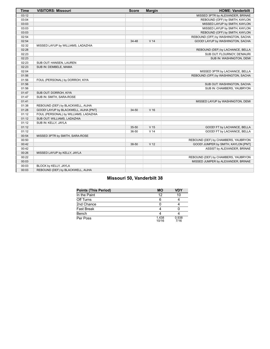| <b>Time</b> | <b>VISITORS: Missouri</b>             | <b>Score</b> | <b>Margin</b>   | <b>HOME: Vanderbilt</b>             |
|-------------|---------------------------------------|--------------|-----------------|-------------------------------------|
| 03:12       |                                       |              |                 | MISSED 3PTR by ALEXANDER, BRINAE    |
| 03:04       |                                       |              |                 | REBOUND (OFF) by SMITH, KAYLON      |
| 03:03       |                                       |              |                 | MISSED LAYUP by SMITH, KAYLON       |
| 03:03       |                                       |              |                 | MISSED LAYUP by SMITH, KAYLON       |
| 03:03       |                                       |              |                 | REBOUND (OFF) by SMITH, KAYLON      |
| 02:54       |                                       |              |                 | REBOUND (OFF) by WASHINGTON, SACHA  |
| 02:54       |                                       | 34-48        | V <sub>14</sub> | GOOD! LAYUP by WASHINGTON, SACHA    |
| 02:32       | MISSED LAYUP by WILLIAMS, LADAZHIA    |              |                 |                                     |
| 02:28       |                                       |              |                 | REBOUND (DEF) by LACHANCE, BELLA    |
| 02:23       |                                       |              |                 | SUB OUT: FLOURNOY, DE'MAURI         |
| 02:23       |                                       |              |                 | SUB IN: WASHINGTON, DEMI            |
| 02:23       | SUB OUT: HANSEN, LAUREN               |              |                 |                                     |
| 02:23       | SUB IN: DEMBELE, MAMA                 |              |                 |                                     |
| 02:04       |                                       |              |                 | MISSED 3PTR by LACHANCE, BELLA      |
| 01:56       |                                       |              |                 | REBOUND (OFF) by WASHINGTON, SACHA  |
| 01:56       | FOUL (PERSONAL) by DORROH, KIYA       |              |                 |                                     |
| 01:56       |                                       |              |                 | SUB OUT: WASHINGTON, SACHA          |
| 01:56       |                                       |              |                 | SUB IN: CHAMBERS, YAUBRYON          |
| 01:47       | SUB OUT: DORROH, KIYA                 |              |                 |                                     |
| 01:47       | SUB IN: SMITH, SARA-ROSE              |              |                 |                                     |
| 01:41       |                                       |              |                 | MISSED LAYUP by WASHINGTON, DEMI    |
| 01:38       | REBOUND (DEF) by BLACKWELL, AIJHA     |              |                 |                                     |
| 01:28       | GOOD! LAYUP by BLACKWELL, AIJHA [PNT] | 34-50        | $V$ 16          |                                     |
| 01:12       | FOUL (PERSONAL) by WILLIAMS, LADAZHIA |              |                 |                                     |
| 01:12       | SUB OUT: WILLIAMS, LADAZHIA           |              |                 |                                     |
| 01:12       | SUB IN: KELLY, JAYLA                  |              |                 |                                     |
| 01:12       |                                       | $35 - 50$    | V <sub>15</sub> | GOOD! FT by LACHANCE, BELLA         |
| 01:12       |                                       | 36-50        | V <sub>14</sub> | GOOD! FT by LACHANCE, BELLA         |
| 00:54       | MISSED 3PTR by SMITH, SARA-ROSE       |              |                 |                                     |
| 00:50       |                                       |              |                 | REBOUND (DEF) by CHAMBERS, YAUBRYON |
| 00:42       |                                       | 38-50        | V <sub>12</sub> | GOOD! JUMPER by SMITH, KAYLON [PNT] |
| 00:42       |                                       |              |                 | ASSIST by ALEXANDER, BRINAE         |
| 00:26       | MISSED LAYUP by KELLY, JAYLA          |              |                 |                                     |
| 00:22       |                                       |              |                 | REBOUND (DEF) by CHAMBERS, YAUBRYON |
| 00:03       |                                       |              |                 | MISSED JUMPER by ALEXANDER, BRINAE  |
| 00:03       | BLOCK by KELLY, JAYLA                 |              |                 |                                     |
| 00:03       | REBOUND (DEF) by BLACKWELL, AIJHA     |              |                 |                                     |

# **Missouri 50, Vanderbilt 38**

| <b>Points (This Period)</b> | MО             | <b>VDY</b>    |
|-----------------------------|----------------|---------------|
| In the Paint                | 12             | 10            |
| Off Turns                   |                |               |
| 2nd Chance                  |                |               |
| <b>Fast Break</b>           |                |               |
| Bench                       |                |               |
| Per Poss                    | 1.438<br>10/16 | 0.938<br>7/16 |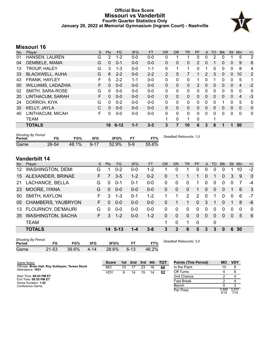# **Official Box Score Missouri vs Vanderbilt Fourth Quarter Statistics Only January 20, 2022 at Memorial Gymnasium (Ingram Court) - Nashville**



# **Missouri 16**

| No. | Player                    | S | <b>Pts</b> | FG       | 3FG     | <b>FT</b> | <b>OR</b>      | D <sub>R</sub> | TR | PF       | A            | TO       | <b>Blk</b> | Stl          | Min            | $+/-$          |
|-----|---------------------------|---|------------|----------|---------|-----------|----------------|----------------|----|----------|--------------|----------|------------|--------------|----------------|----------------|
| 01  | HANSEN, LAUREN            | G | 2          | $1 - 2$  | $0 - 0$ | $0-0$     | 0              |                |    | 0        | 0            | 2        | 0          |              | 5              | 2              |
| 04  | DEMBELE, MAMA             | G | 0          | $0 - 1$  | $0 - 0$ | $0 - 0$   | 0              | 0              | 0  | 2        | 0            |          | 0          | $\mathbf{0}$ | 9              | 6              |
| 13  | <b>TROUP, HALEY</b>       | G | 3          | $1 - 3$  | $0 - 0$ | $1 - 1$   | 0              |                | 1  | 0        |              | 0        | 0          | 0            | 8              | 4              |
| 33  | <b>BLACKWELL, AIJHA</b>   | G | 6          | $2 - 2$  | $0 - 0$ | $2 - 2$   | $\overline{2}$ | 5              | 7  | 1        | 2            | 3        | 0          | $\Omega$     | 10             | $\overline{2}$ |
| 43  | FRANK, HAYLEY             | F | 5          | $2 - 2$  | $1 - 1$ | $0 - 0$   | $\mathbf{0}$   | $\Omega$       | 0  | 1        | 0            |          | 0          | 0            | 5              | 1              |
| 00  | <b>WILLIAMS, LADAZHIA</b> | F | 0          | $0 - 0$  | $0 - 0$ | $0 - 0$   | 0              | $\mathbf{0}$   | 0  | 2        | $\mathbf{0}$ | 0        | 0          | $\mathbf{0}$ | $\overline{4}$ | $-2$           |
| 02  | SMITH, SARA-ROSE          | G | 0          | $0 - 0$  | $0 - 0$ | $0 - 0$   | 0              | 0              | 0  | 0        | 0            | 0        | 0          | 0            | 0              | 0              |
| 20  | LINTHACUM, SARAH          | F | 0          | $0 - 0$  | $0 - 0$ | $0 - 0$   | $\mathbf{0}$   | $\Omega$       | 0  | $\Omega$ | $\mathbf{0}$ | $\Omega$ | $\Omega$   | $\Omega$     | $\overline{4}$ | $-3$           |
| 24  | DORROH, KIYA              | G | 0          | $0 - 2$  | $0 - 0$ | $0 - 0$   | 0              | 0              | 0  | 0        | $\mathbf{0}$ | 0        |            | 0            | 5              | 0              |
| 32  | <b>KELLY, JAYLA</b>       | C | $\Omega$   | $0 - 0$  | $0 - 0$ | $0 - 0$   | $\Omega$       | $\Omega$       | 0  | 0        | 0            | $\Omega$ | $\Omega$   | $\Omega$     | $\Omega$       | $\mathbf 0$    |
| 40  | LINTHACUM, MICAH          | F | 0          | $0 - 0$  | $0 - 0$ | $0 - 0$   | 0              | $\Omega$       | 0  | 0        | 0            | 0        | 0          | 0            | 0              | $\mathbf{0}$   |
|     | <b>TEAM</b>               |   |            |          |         |           |                | $\Omega$       | 4  | 0        |              | ٠        |            |              |                |                |
|     | <b>TOTALS</b>             |   | 16         | $6 - 12$ | $1 - 1$ | $3 - 3$   | 3              | 7              | 10 | 6        | 3            | 8        | 1          |              | 50             |                |

| <b>Shooting By Period</b><br>Period | FG    | FG%   | 3FG      | 3FG%     | FТ    | FT%   | Deadball Rebounds: 1,0 |
|-------------------------------------|-------|-------|----------|----------|-------|-------|------------------------|
| Game                                | 26-54 | 48.1% | $9 - 17$ | $52.9\%$ | $5-9$ | 55.6% |                        |

# **Vanderbilt 14**

| No. | Plaver                    | S. | <b>Pts</b> | FG.      | 3FG     | <b>FT</b> | OR       | <b>DR</b> | <b>TR</b>    | <b>PF</b>     | A            | TO       | <b>Blk</b> | Stl      | Min      | $+/-$       |
|-----|---------------------------|----|------------|----------|---------|-----------|----------|-----------|--------------|---------------|--------------|----------|------------|----------|----------|-------------|
| 12  | <b>WASHINGTON, DEMI</b>   | G  |            | $0 - 2$  | $0 - 0$ | $1 - 2$   |          | 0         |              | 0             | 0            | 0        | 0          |          | 10       | $-2$        |
| 15  | ALEXANDER, BRINAE         | F. |            | $3-5$    | $1 - 2$ | $0 - 2$   | 0        | 1         |              | 1             | 0            |          | 0          | 3        | 9        | $\mathbf 0$ |
| 21  | LACHANCE, BELLA           | G  | $\Omega$   | $0 - 1$  | 0-1     | $0 - 0$   | 0        | 0         | 0            |               | 0            | $\Omega$ | 0          |          |          | -4          |
| 23  | MOORE, IYANA              | G  | $\Omega$   | $0 - 0$  | $0 - 0$ | $0 - 0$   | 0        | $\Omega$  | $\mathbf{0}$ | 1             | $\mathbf{0}$ | $\Omega$ | 0          |          | 6        | 3           |
| 50  | SMITH, KAYLON             | F  | 3          | $1 - 3$  | 0-1     | $1 - 2$   |          | 1         | 2            | $\mathcal{P}$ | $\Omega$     |          | 0          | $\Omega$ | 6        | -7          |
| 05  | <b>CHAMBERS, YAUBRYON</b> | F. | $\Omega$   | $0 - 0$  | $0 - 0$ | $0 - 0$   | 0        |           | 1            | $\Omega$      | 3            | -1       | 0          |          | 8        | $-6$        |
| 13  | FLOURNOY, DE'MAURI        | G  | $\Omega$   | $0 - 0$  | $0 - 0$ | $0 - 0$   | $\Omega$ | $\Omega$  | $\Omega$     | $\Omega$      | 0            | $\Omega$ | 0          | $\Omega$ | $\Omega$ | $\Omega$    |
| 35  | <b>WASHINGTON, SACHA</b>  | F. | 3          | $1 - 2$  | $0-0$   | $1 - 2$   | 0        | $\Omega$  | $\Omega$     | $\Omega$      | $\Omega$     | 0        | 0          | $\Omega$ | 5        | 6           |
|     | <b>TEAM</b>               |    |            |          |         |           | 1        | 0         |              | $\Omega$      |              | 0        |            |          |          |             |
|     | <b>TOTALS</b>             |    | 14         | $5 - 13$ | 1-4     | $3 - 8$   | 3        | 3         | 6            | 5             | 3            | 3        | 0          | 6        | 50       |             |
|     |                           |    |            |          |         |           |          |           |              |               |              |          |            |          |          |             |

| <b>Shooting By Period</b><br>Period | FG        | FG%      | 3FG  | 3FG%  | FТ       | FT%   | Deadball Rebounds: 3,0 |
|-------------------------------------|-----------|----------|------|-------|----------|-------|------------------------|
| Game                                | $21 - 53$ | $39.6\%$ | 4-14 | 28.6% | $6 - 13$ | 46.2% |                        |

| Game Notes:                                                           | <b>Score</b> |    | 1st 2nd 3rd 4th |    |    | <b>- тот</b> | <b>Points (This Period)</b> | MО            | <b>VDY</b>    |
|-----------------------------------------------------------------------|--------------|----|-----------------|----|----|--------------|-----------------------------|---------------|---------------|
| Officials: Brian Hall, Roy Gulbeyan, Teresa Stuck<br>Attendance: 1651 | МO           | 10 |                 | 23 | 16 | 66           | In the Paint                | 10            |               |
|                                                                       | VDY          | 9  | 14              | 15 | 14 | 52           | Off Turns                   |               |               |
| Start Time: 08:03 PM ET                                               |              |    |                 |    |    |              | 2nd Chance                  |               |               |
| End Time: 09:55 PM ET<br>Game Duration: 1:52                          |              |    |                 |    |    |              | <b>Fast Break</b>           |               |               |
| Conference Game:                                                      |              |    |                 |    |    |              | Bench                       |               |               |
|                                                                       |              |    |                 |    |    |              | Per Poss                    | 0.889<br>8/18 | 0.875<br>7/16 |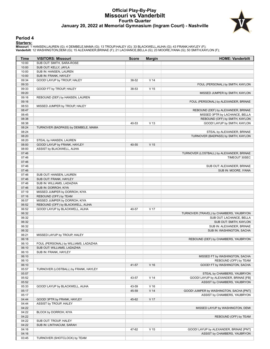# **Official Play-By-Play Missouri vs Vanderbilt Fourth Quarter January 20, 2022 at Memorial Gymnasium (Ingram Court) - Nashville**



#### **Period 4**

<mark>Startersː</mark><br>Missouri: 1 HANSEN,LAUREN (G); 4 DEMBELE,MAMA (G); 13 TROUP,HALEY (G); 33 BLACKWELL,AIJHA (G); 43 FRANK,HAYLEY (F);<br>**Vanderbilt**: 12 WASHINGTON,DEMI (G); 15 ALEXANDER,BRINAE (F); 21 LACHANCE,BELLA (G); 23 MOORE

| Time           | <b>VISITORS: Missouri</b>                             | <b>Score</b> | <b>Margin</b>   | <b>HOME: Vanderbilt</b>                            |
|----------------|-------------------------------------------------------|--------------|-----------------|----------------------------------------------------|
| 10:00          | SUB OUT: SMITH, SARA-ROSE                             |              |                 |                                                    |
| 10:00          | SUB OUT: KELLY, JAYLA                                 |              |                 |                                                    |
| 10:00          | SUB IN: HANSEN, LAUREN                                |              |                 |                                                    |
| 10:00          | SUB IN: FRANK, HAYLEY                                 |              |                 |                                                    |
| 09:34          | GOOD! LAYUP by TROUP, HALEY                           | 38-52        | V <sub>14</sub> |                                                    |
| 09:33          |                                                       |              |                 | FOUL (PERSONAL) by SMITH, KAYLON                   |
| 09:33          | GOOD! FT by TROUP, HALEY                              | 38-53        | V <sub>15</sub> |                                                    |
| 09:20          |                                                       |              |                 | MISSED JUMPER by SMITH, KAYLON                     |
| 09:16<br>09:16 | REBOUND (DEF) by HANSEN, LAUREN                       |              |                 | FOUL (PERSONAL) by ALEXANDER, BRINAE               |
| 08:53          | MISSED JUMPER by TROUP, HALEY                         |              |                 |                                                    |
| 08:47          |                                                       |              |                 | REBOUND (DEF) by ALEXANDER, BRINAE                 |
| 08:45          |                                                       |              |                 | MISSED 3PTR by LACHANCE, BELLA                     |
| 08:38          |                                                       |              |                 | REBOUND (OFF) by SMITH, KAYLON                     |
| 08:38          |                                                       | 40-53        | V <sub>13</sub> | GOOD! LAYUP by SMITH, KAYLON                       |
| 08:24          | TURNOVER (BADPASS) by DEMBELE, MAMA                   |              |                 |                                                    |
| 08:24          |                                                       |              |                 | STEAL by ALEXANDER, BRINAE                         |
| 08:20          |                                                       |              |                 | TURNOVER (BADPASS) by SMITH, KAYLON                |
| 08:20          | STEAL by HANSEN, LAUREN                               |              |                 |                                                    |
| 08:00          | GOOD! LAYUP by FRANK, HAYLEY                          | 40-55        | V <sub>15</sub> |                                                    |
| 08:00          | ASSIST by BLACKWELL, AIJHA                            |              |                 |                                                    |
| 07:46          |                                                       |              |                 | TURNOVER (LOSTBALL) by ALEXANDER, BRINAE           |
| 07:46          |                                                       |              |                 | TIMEOUT 30SEC                                      |
| 07:46          |                                                       |              |                 |                                                    |
| 07:46<br>07:46 |                                                       |              |                 | SUB OUT: ALEXANDER, BRINAE<br>SUB IN: MOORE, IYANA |
| 07:46          | SUB OUT: HANSEN, LAUREN                               |              |                 |                                                    |
| 07:46          | SUB OUT: FRANK, HAYLEY                                |              |                 |                                                    |
| 07:46          | SUB IN: WILLIAMS, LADAZHIA                            |              |                 |                                                    |
| 07:46          | SUB IN: DORROH, KIYA                                  |              |                 |                                                    |
| 07:19          | MISSED JUMPER by DORROH, KIYA                         |              |                 |                                                    |
| 07:16          | REBOUND (OFF) by TEAM                                 |              |                 |                                                    |
| 06:57          | MISSED JUMPER by DORROH, KIYA                         |              |                 |                                                    |
| 06:52          | REBOUND (OFF) by BLACKWELL, AIJHA                     |              |                 |                                                    |
| 06:52          | GOOD! LAYUP by BLACKWELL, AIJHA                       | 40-57        | V <sub>17</sub> |                                                    |
| 06:32          |                                                       |              |                 | TURNOVER (TRAVEL) by CHAMBERS, YAUBRYON            |
| 06:32          |                                                       |              |                 | SUB OUT: LACHANCE, BELLA                           |
| 06:32          |                                                       |              |                 | SUB OUT: SMITH, KAYLON                             |
| 06:32          |                                                       |              |                 | SUB IN: ALEXANDER, BRINAE                          |
| 06:32<br>06:21 | MISSED LAYUP by TROUP, HALEY                          |              |                 | SUB IN: WASHINGTON, SACHA                          |
| 06:18          |                                                       |              |                 | REBOUND (DEF) by CHAMBERS, YAUBRYON                |
| 06:10          | FOUL (PERSONAL) by WILLIAMS, LADAZHIA                 |              |                 |                                                    |
| 06:10          | SUB OUT: WILLIAMS, LADAZHIA                           |              |                 |                                                    |
| 06:10          | SUB IN: FRANK, HAYLEY                                 |              |                 |                                                    |
| 06:10          |                                                       |              |                 | MISSED FT by WASHINGTON, SACHA                     |
| 06:10          |                                                       |              |                 | REBOUND (OFF) by TEAM                              |
| 06:10          |                                                       | 41-57        | V <sub>16</sub> | GOOD! FT by WASHINGTON, SACHA                      |
| 05:57          | TURNOVER (LOSTBALL) by FRANK, HAYLEY                  |              |                 |                                                    |
| 05:57          |                                                       |              |                 | STEAL by CHAMBERS, YAUBRYON                        |
| 05:52          |                                                       | 43-57        | V <sub>14</sub> | GOOD! LAYUP by ALEXANDER, BRINAE [FB]              |
| 05:52          |                                                       |              |                 | ASSIST by CHAMBERS, YAUBRYON                       |
| 05:33          | GOOD! LAYUP by BLACKWELL, AIJHA                       | 43-59        | V <sub>16</sub> |                                                    |
| 05:17          |                                                       | 45-59        | V <sub>14</sub> | GOOD! JUMPER by WASHINGTON, SACHA [PNT]            |
| 05:17<br>04:44 |                                                       | 45-62        |                 | ASSIST by CHAMBERS, YAUBRYON                       |
| 04:44          | GOOD! 3PTR by FRANK, HAYLEY<br>ASSIST by TROUP, HALEY |              | V 17            |                                                    |
| 04:22          |                                                       |              |                 | MISSED LAYUP by WASHINGTON, DEMI                   |
| 04:22          | BLOCK by DORROH, KIYA                                 |              |                 |                                                    |
| 04:22          |                                                       |              |                 | REBOUND (OFF) by TEAM                              |
| 04:22          | SUB OUT: TROUP, HALEY                                 |              |                 |                                                    |
| 04:22          | SUB IN: LINTHACUM, SARAH                              |              |                 |                                                    |
| 04:16          |                                                       | 47-62        | V <sub>15</sub> | GOOD! LAYUP by ALEXANDER, BRINAE [PNT]             |
| 04:16          |                                                       |              |                 | ASSIST by CHAMBERS, YAUBRYON                       |
| 03:45          | TURNOVER (SHOTCLOCK) by TEAM                          |              |                 |                                                    |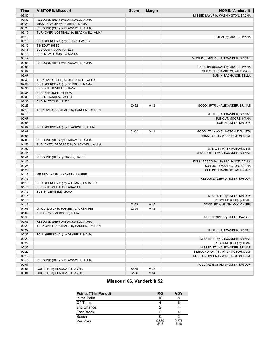| <b>Time</b>    | <b>VISITORS: Missouri</b>                                        | <b>Score</b> | <b>Margin</b>   | <b>HOME: Vanderbilt</b>            |
|----------------|------------------------------------------------------------------|--------------|-----------------|------------------------------------|
| 03:35          |                                                                  |              |                 | MISSED LAYUP by WASHINGTON, SACHA  |
| 03:32          | REBOUND (DEF) by BLACKWELL, AIJHA                                |              |                 |                                    |
| 03:23          | MISSED LAYUP by DEMBELE, MAMA                                    |              |                 |                                    |
| 03:20          | REBOUND (OFF) by BLACKWELL, AIJHA                                |              |                 |                                    |
| 03:19          | TURNOVER (LOSTBALL) by BLACKWELL, AIJHA                          |              |                 |                                    |
| 03:19          |                                                                  |              |                 | STEAL by MOORE, IYANA              |
| 03:15          | FOUL (PERSONAL) by FRANK, HAYLEY                                 |              |                 |                                    |
| 03:15          | TIMEOUT 30SEC                                                    |              |                 |                                    |
| 03:15          | SUB OUT: FRANK, HAYLEY                                           |              |                 |                                    |
| 03:15          | SUB IN: WILLIAMS, LADAZHIA                                       |              |                 |                                    |
| 03:12          |                                                                  |              |                 | MISSED JUMPER by ALEXANDER, BRINAE |
| 03:08          | REBOUND (DEF) by BLACKWELL, AIJHA                                |              |                 |                                    |
| 03:07          |                                                                  |              |                 | FOUL (PERSONAL) by MOORE, IYANA    |
| 03:07          |                                                                  |              |                 | SUB OUT: CHAMBERS, YAUBRYON        |
| 03:07          |                                                                  |              |                 | SUB IN: LACHANCE, BELLA            |
| 02:46          | TURNOVER (3SEC) by BLACKWELL, AIJHA                              |              |                 |                                    |
| 02:35          | FOUL (PERSONAL) by DEMBELE, MAMA                                 |              |                 |                                    |
| 02:35          | SUB OUT: DEMBELE, MAMA                                           |              |                 |                                    |
| 02:35          | SUB OUT: DORROH, KIYA                                            |              |                 |                                    |
| 02:35          | SUB IN: HANSEN, LAUREN                                           |              |                 |                                    |
| 02:35          | SUB IN: TROUP, HALEY                                             |              |                 |                                    |
| 02:28          |                                                                  | 50-62        | V <sub>12</sub> | GOOD! 3PTR by ALEXANDER, BRINAE    |
| 02:10          | TURNOVER (LOSTBALL) by HANSEN, LAUREN                            |              |                 |                                    |
| 02:10          |                                                                  |              |                 | STEAL by ALEXANDER, BRINAE         |
| 02:07          |                                                                  |              |                 | SUB OUT: MOORE, IYANA              |
| 02:07          |                                                                  |              |                 | SUB IN: SMITH, KAYLON              |
| 02:07          | FOUL (PERSONAL) by BLACKWELL, AIJHA                              |              |                 |                                    |
| 02:07          |                                                                  | 51-62        | $V$ 11          | GOOD! FT by WASHINGTON, DEMI [FB]  |
| 02:07          |                                                                  |              |                 | MISSED FT by WASHINGTON, DEMI      |
| 02:06          | REBOUND (DEF) by BLACKWELL, AIJHA                                |              |                 |                                    |
| 01:55          | TURNOVER (BADPASS) by BLACKWELL, AIJHA                           |              |                 |                                    |
| 01:55          |                                                                  |              |                 | STEAL by WASHINGTON, DEMI          |
| 01:45          |                                                                  |              |                 | MISSED 3PTR by ALEXANDER, BRINAE   |
| 01:41          | REBOUND (DEF) by TROUP, HALEY                                    |              |                 |                                    |
| 01:25          |                                                                  |              |                 | FOUL (PERSONAL) by LACHANCE, BELLA |
| 01:25          |                                                                  |              |                 | SUB OUT: WASHINGTON, SACHA         |
| 01:25          |                                                                  |              |                 | SUB IN: CHAMBERS, YAUBRYON         |
| 01:16          | MISSED LAYUP by HANSEN, LAUREN                                   |              |                 |                                    |
| 01:15          |                                                                  |              |                 | REBOUND (DEF) by SMITH, KAYLON     |
| 01:15          | FOUL (PERSONAL) by WILLIAMS, LADAZHIA                            |              |                 |                                    |
| 01:15          | SUB OUT: WILLIAMS, LADAZHIA                                      |              |                 |                                    |
| 01:15          | SUB IN: DEMBELE, MAMA                                            |              |                 |                                    |
| 01:15          |                                                                  |              |                 | MISSED FT by SMITH, KAYLON         |
| 01:15<br>01:15 |                                                                  | 52-62        | $V$ 10          | REBOUND (OFF) by TEAM              |
|                |                                                                  |              |                 | GOOD! FT by SMITH, KAYLON [FB]     |
| 01:03<br>01:03 | GOOD! LAYUP by HANSEN, LAUREN [FB]<br>ASSIST by BLACKWELL, AIJHA | 52-64        | V <sub>12</sub> |                                    |
| 00:50          |                                                                  |              |                 | MISSED 3PTR by SMITH, KAYLON       |
| 00:46          | REBOUND (DEF) by BLACKWELL, AIJHA                                |              |                 |                                    |
| 00:29          | TURNOVER (LOSTBALL) by HANSEN, LAUREN                            |              |                 |                                    |
| 00:29          |                                                                  |              |                 | STEAL by ALEXANDER, BRINAE         |
| 00:22          | FOUL (PERSONAL) by DEMBELE, MAMA                                 |              |                 |                                    |
| 00:22          |                                                                  |              |                 | MISSED FT by ALEXANDER, BRINAE     |
| 00:22          |                                                                  |              |                 | REBOUND (OFF) by TEAM              |
| 00:22          |                                                                  |              |                 | MISSED FT by ALEXANDER, BRINAE     |
| 00:20          |                                                                  |              |                 | REBOUND (OFF) by WASHINGTON, DEMI  |
| 00:18          |                                                                  |              |                 | MISSED JUMPER by WASHINGTON, DEMI  |
| 00:15          | REBOUND (DEF) by BLACKWELL, AIJHA                                |              |                 |                                    |
| 00:01          |                                                                  |              |                 | FOUL (PERSONAL) by SMITH, KAYLON   |
| 00:01          | GOOD! FT by BLACKWELL, AIJHA                                     | 52-65        | V <sub>13</sub> |                                    |
| 00:01          | GOOD! FT by BLACKWELL, AIJHA                                     | 52-66        | V <sub>14</sub> |                                    |
|                |                                                                  |              |                 |                                    |

# **Missouri 66, Vanderbilt 52**

| <b>Points (This Period)</b> | MО            | VDY           |
|-----------------------------|---------------|---------------|
| In the Paint                | 10            |               |
| Off Turns                   |               |               |
| 2nd Chance                  |               |               |
| Fast Break                  |               |               |
| Bench                       |               |               |
| Per Poss                    | 0.889<br>8/18 | 0.875<br>7/16 |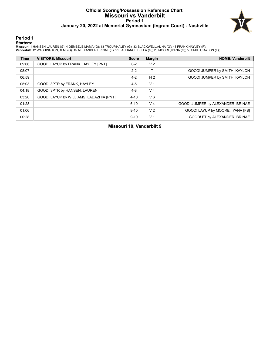### **Official Scoring/Possession Reference Chart Missouri vs Vanderbilt Period 1 January 20, 2022 at Memorial Gymnasium (Ingram Court) - Nashville**



#### **Period 1**

<mark>Startersː</mark><br>Missouri: 1 HANSEN,LAUREN (G); 4 DEMBELE,MAMA (G); 13 TROUP,HALEY (G); 33 BLACKWELL,AIJHA (G); 43 FRANK,HAYLEY (F);<br>**Vanderbilt**: 12 WASHINGTON,DEMI (G); 15 ALEXANDER,BRINAE (F); 21 LACHANCE,BELLA (G); 23 MOORE

| <b>Time</b> | <b>VISITORS: Missouri</b>               | <b>Score</b> | <b>Margin</b>  | <b>HOME: Vanderbilt</b>           |
|-------------|-----------------------------------------|--------------|----------------|-----------------------------------|
| 09:06       | GOOD! LAYUP by FRANK, HAYLEY [PNT]      | $0 - 2$      | V <sub>2</sub> |                                   |
| 08:07       |                                         | $2 - 2$      | т              | GOOD! JUMPER by SMITH, KAYLON     |
| 06:59       |                                         | $4 - 2$      | H <sub>2</sub> | GOOD! JUMPER by SMITH, KAYLON     |
| 05:03       | GOOD! 3PTR by FRANK, HAYLEY             | $4 - 5$      | V <sub>1</sub> |                                   |
| 04:18       | GOOD! 3PTR by HANSEN, LAUREN            | $4 - 8$      | V <sub>4</sub> |                                   |
| 03:20       | GOOD! LAYUP by WILLIAMS, LADAZHIA [PNT] | $4 - 10$     | $V_6$          |                                   |
| 01:28       |                                         | $6 - 10$     | V <sub>4</sub> | GOOD! JUMPER by ALEXANDER, BRINAE |
| 01:06       |                                         | $8 - 10$     | V <sub>2</sub> | GOOD! LAYUP by MOORE, IYANA [FB]  |
| 00:28       |                                         | $9-10$       | V <sub>1</sub> | GOOD! FT by ALEXANDER, BRINAE     |

**Missouri 10, Vanderbilt 9**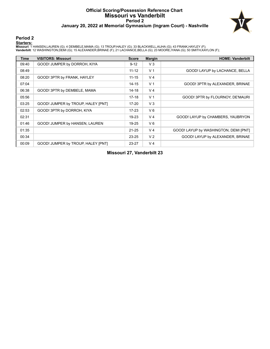## **Official Scoring/Possession Reference Chart Missouri vs Vanderbilt Period 2 January 20, 2022 at Memorial Gymnasium (Ingram Court) - Nashville**



## **Period 2**

#### **Starters:**

Missouri: 1 HANSEN,LAUREN (G); 4 DEMBELE,MAMA (G); 13 TROUP,HALEY (G); 33 BLACKWELL,AIJHA (G); 43 FRANK,HAYLEY (F);<br>**Vanderbilt**: 12 WASHINGTON,DEMI (G); 15 ALEXANDER,BRINAE (F); 21 LACHANCE,BELLA (G); 23 MOORE,IYANA (G);

| <b>Time</b> | <b>VISITORS: Missouri</b>          | <b>Score</b> | <b>Margin</b>  | <b>HOME: Vanderbilt</b>               |
|-------------|------------------------------------|--------------|----------------|---------------------------------------|
| 09:40       | GOOD! JUMPER by DORROH, KIYA       | $9 - 12$     | $V_3$          |                                       |
| 08:49       |                                    | $11 - 12$    | V <sub>1</sub> | GOOD! LAYUP by LACHANCE, BELLA        |
| 08:20       | GOOD! 3PTR by FRANK, HAYLEY        | $11 - 15$    | V <sub>4</sub> |                                       |
| 07:04       |                                    | $14 - 15$    | V <sub>1</sub> | GOOD! 3PTR by ALEXANDER, BRINAE       |
| 06:38       | GOOD! 3PTR by DEMBELE, MAMA        | $14 - 18$    | V <sub>4</sub> |                                       |
| 05:56       |                                    | $17-18$      | V <sub>1</sub> | GOOD! 3PTR by FLOURNOY, DE'MAURI      |
| 03:25       | GOOD! JUMPER by TROUP, HALEY [PNT] | $17 - 20$    | $V_3$          |                                       |
| 02:53       | GOOD! 3PTR by DORROH, KIYA         | $17-23$      | $V_6$          |                                       |
| 02:31       |                                    | 19-23        | V <sub>4</sub> | GOOD! LAYUP by CHAMBERS, YAUBRYON     |
| 01:46       | GOOD! JUMPER by HANSEN, LAUREN     | 19-25        | $V_6$          |                                       |
| 01:35       |                                    | $21 - 25$    | V <sub>4</sub> | GOOD! LAYUP by WASHINGTON, DEMI [PNT] |
| 00:34       |                                    | 23-25        | V <sub>2</sub> | GOOD! LAYUP by ALEXANDER, BRINAE      |
| 00:09       | GOOD! JUMPER by TROUP, HALEY [PNT] | 23-27        | V <sub>4</sub> |                                       |

**Missouri 27, Vanderbilt 23**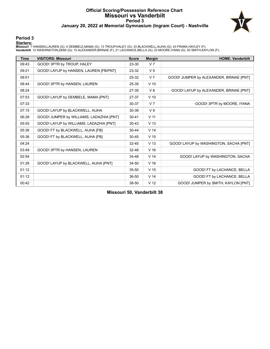### **Official Scoring/Possession Reference Chart Missouri vs Vanderbilt Period 3 January 20, 2022 at Memorial Gymnasium (Ingram Court) - Nashville**



### **Period 3**

<mark>Startersː</mark><br>Missouri: 1 HANSEN,LAUREN (G); 4 DEMBELE,MAMA (G); 13 TROUP,HALEY (G); 33 BLACKWELL,AIJHA (G); 43 FRANK,HAYLEY (F);<br>**Vanderbilt**: 12 WASHINGTON,DEMI (G); 15 ALEXANDER,BRINAE (F); 21 LACHANCE,BELLA (G); 23 MOORE

| <b>Time</b> | <b>VISITORS: Missouri</b>                | <b>Score</b> | <b>Margin</b>   | <b>HOME: Vanderbilt</b>                 |
|-------------|------------------------------------------|--------------|-----------------|-----------------------------------------|
| 09:43       | GOOD! 3PTR by TROUP, HALEY               | 23-30        | V <sub>7</sub>  |                                         |
| 09:21       | GOOD! LAYUP by HANSEN, LAUREN [FB/PNT]   | 23-32        | V <sub>9</sub>  |                                         |
| 09:01       |                                          | 25-32        | V <sub>7</sub>  | GOOD! JUMPER by ALEXANDER, BRINAE [PNT] |
| 08:44       | GOOD! 3PTR by HANSEN, LAUREN             | 25-35        | $V$ 10          |                                         |
| 08:24       |                                          | 27-35        | V8              | GOOD! LAYUP by ALEXANDER, BRINAE [PNT]  |
| 07:53       | GOOD! LAYUP by DEMBELE, MAMA [PNT]       | 27-37        | $V$ 10          |                                         |
| 07:33       |                                          | 30-37        | V <sub>7</sub>  | GOOD! 3PTR by MOORE, IYANA              |
| 07:15       | GOOD! LAYUP by BLACKWELL, AIJHA          | 30-39        | V <sub>9</sub>  |                                         |
| 06:28       | GOOD! JUMPER by WILLIAMS, LADAZHIA [PNT] | $30 - 41$    | V <sub>11</sub> |                                         |
| 05:55       | GOOD! LAYUP by WILLIAMS, LADAZHIA [PNT]  | $30 - 43$    | V <sub>13</sub> |                                         |
| 05:36       | GOOD! FT by BLACKWELL, AIJHA [FB]        | $30 - 44$    | V <sub>14</sub> |                                         |
| 05:36       | GOOD! FT by BLACKWELL, AIJHA [FB]        | $30 - 45$    | V <sub>15</sub> |                                         |
| 04:24       |                                          | $32 - 45$    | V <sub>13</sub> | GOOD! LAYUP by WASHINGTON, SACHA [PNT]  |
| 03:49       | GOOD! 3PTR by HANSEN, LAUREN             | 32-48        | V <sub>16</sub> |                                         |
| 02:54       |                                          | 34-48        | V <sub>14</sub> | GOOD! LAYUP by WASHINGTON, SACHA        |
| 01:28       | GOOD! LAYUP by BLACKWELL, AIJHA [PNT]    | 34-50        | V <sub>16</sub> |                                         |
| 01:12       |                                          | $35 - 50$    | V <sub>15</sub> | GOOD! FT by LACHANCE, BELLA             |
| 01:12       |                                          | $36-50$      | V <sub>14</sub> | GOOD! FT by LACHANCE, BELLA             |
| 00:42       |                                          | 38-50        | V <sub>12</sub> | GOOD! JUMPER by SMITH, KAYLON [PNT]     |

**Missouri 50, Vanderbilt 38**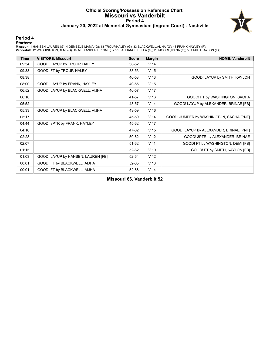### **Official Scoring/Possession Reference Chart Missouri vs Vanderbilt Period 4 January 20, 2022 at Memorial Gymnasium (Ingram Court) - Nashville**



#### **Period 4**

#### **Starters:**

Missouri: 1 HANSEN,LAUREN (G); 4 DEMBELE,MAMA (G); 13 TROUP,HALEY (G); 33 BLACKWELL,AIJHA (G); 43 FRANK,HAYLEY (F);<br>**Vanderbilt**: 12 WASHINGTON,DEMI (G); 15 ALEXANDER,BRINAE (F); 21 LACHANCE,BELLA (G); 23 MOORE,IYANA (G);

| <b>Time</b> | <b>VISITORS: Missouri</b>          | <b>Score</b> | <b>Margin</b>   | <b>HOME: Vanderbilt</b>                 |
|-------------|------------------------------------|--------------|-----------------|-----------------------------------------|
| 09:34       | GOOD! LAYUP by TROUP, HALEY        | 38-52        | V <sub>14</sub> |                                         |
| 09:33       | GOOD! FT by TROUP, HALEY           | 38-53        | V <sub>15</sub> |                                         |
| 08:38       |                                    | 40-53        | V <sub>13</sub> | GOOD! LAYUP by SMITH, KAYLON            |
| 08:00       | GOOD! LAYUP by FRANK, HAYLEY       | 40-55        | V <sub>15</sub> |                                         |
| 06:52       | GOOD! LAYUP by BLACKWELL, AIJHA    | 40-57        | V <sub>17</sub> |                                         |
| 06:10       |                                    | 41-57        | V <sub>16</sub> | GOOD! FT by WASHINGTON, SACHA           |
| 05:52       |                                    | 43-57        | V <sub>14</sub> | GOOD! LAYUP by ALEXANDER, BRINAE [FB]   |
| 05:33       | GOOD! LAYUP by BLACKWELL, AIJHA    | 43-59        | V <sub>16</sub> |                                         |
| 05:17       |                                    | 45-59        | V <sub>14</sub> | GOOD! JUMPER by WASHINGTON, SACHA [PNT] |
| 04:44       | GOOD! 3PTR by FRANK, HAYLEY        | 45-62        | V <sub>17</sub> |                                         |
| 04:16       |                                    | 47-62        | V <sub>15</sub> | GOOD! LAYUP by ALEXANDER, BRINAE [PNT]  |
| 02:28       |                                    | 50-62        | V <sub>12</sub> | GOOD! 3PTR by ALEXANDER, BRINAE         |
| 02:07       |                                    | $51-62$      | V <sub>11</sub> | GOOD! FT by WASHINGTON, DEMI [FB]       |
| 01:15       |                                    | 52-62        | $V$ 10          | GOOD! FT by SMITH, KAYLON [FB]          |
| 01:03       | GOOD! LAYUP by HANSEN, LAUREN [FB] | 52-64        | V <sub>12</sub> |                                         |
| 00:01       | GOOD! FT by BLACKWELL, AIJHA       | 52-65        | V <sub>13</sub> |                                         |
| 00:01       | GOOD! FT by BLACKWELL, AIJHA       | 52-66        | V <sub>14</sub> |                                         |

**Missouri 66, Vanderbilt 52**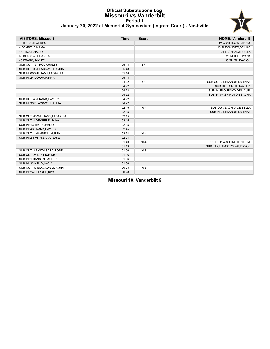### **Official Substitutions Log Missouri vs Vanderbilt Period 1 January 20, 2022 at Memorial Gymnasium (Ingram Court) - Nashville**



| <b>VISITORS: Missouri</b>      | <b>Time</b> | <b>Score</b> | <b>HOME: Vanderbilt</b>    |
|--------------------------------|-------------|--------------|----------------------------|
| 1 HANSEN, LAUREN               |             |              | 12 WASHINGTON, DEMI        |
| 4 DEMBELE, MAMA                |             |              | 15 ALEXANDER, BRINAE       |
| 13 TROUP, HALEY                |             |              | 21 LACHANCE, BELLA         |
| 33 BLACKWELL.AIJHA             |             |              | 23 MOORE.IYANA             |
| 43 FRANK, HAYLEY               |             |              | 50 SMITH, KAYLON           |
| SUB OUT: 13 TROUP, HALEY       | 05:48       | $2 - 4$      |                            |
| SUB OUT: 33 BLACKWELL, AIJHA   | 05:48       |              |                            |
| SUB IN: 00 WILLIAMS, LADAZHIA  | 05:48       |              |                            |
| SUB IN: 24 DORROH, KIYA        | 05:48       |              |                            |
|                                | 04:22       | $5 - 4$      | SUB OUT: ALEXANDER, BRINAE |
|                                | 04:22       |              | SUB OUT: SMITH, KAYLON     |
|                                | 04:22       |              | SUB IN: FLOURNOY, DE'MAURI |
|                                | 04:22       |              | SUB IN: WASHINGTON, SACHA  |
| SUB OUT: 43 FRANK.HAYLEY       | 04:22       |              |                            |
| SUB IN: 33 BLACKWELL, AIJHA    | 04:22       |              |                            |
|                                | 02:45       | $10 - 4$     | SUB OUT: LACHANCE, BELLA   |
|                                | 02:45       |              | SUB IN: ALEXANDER, BRINAE  |
| SUB OUT: 00 WILLIAMS, LADAZHIA | 02:45       |              |                            |
| SUB OUT: 4 DEMBELE, MAMA       | 02:45       |              |                            |
| SUB IN: 13 TROUP, HALEY        | 02:45       |              |                            |
| SUB IN: 43 FRANK, HAYLEY       | 02:45       |              |                            |
| SUB OUT: 1 HANSEN, LAUREN      | 02:24       | $10 - 4$     |                            |
| SUB IN: 2 SMITH, SARA-ROSE     | 02:24       |              |                            |
|                                | 01:43       | $10 - 4$     | SUB OUT: WASHINGTON, DEMI  |
|                                | 01:43       |              | SUB IN: CHAMBERS, YAUBRYON |
| SUB OUT: 2 SMITH, SARA-ROSE    | 01:06       | $10 - 8$     |                            |
| SUB OUT: 24 DORROH, KIYA       | 01:06       |              |                            |
| SUB IN: 1 HANSEN, LAUREN       | 01:06       |              |                            |
| SUB IN: 32 KELLY, JAYLA        | 01:06       |              |                            |
| SUB OUT: 33 BLACKWELL, AIJHA   | 00:28       | $10 - 8$     |                            |
| SUB IN: 24 DORROH, KIYA        | 00:28       |              |                            |

**Missouri 10, Vanderbilt 9**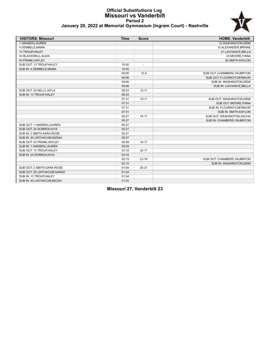### **Official Substitutions Log Missouri vs Vanderbilt Period 2 January 20, 2022 at Memorial Gymnasium (Ingram Court) - Nashville**



| <b>VISITORS: Missouri</b>    | <b>Time</b> | <b>Score</b>             | <b>HOME: Vanderbilt</b>     |
|------------------------------|-------------|--------------------------|-----------------------------|
| 1 HANSEN, LAUREN             |             |                          | 12 WASHINGTON, DEMI         |
| 4 DEMBELE.MAMA               |             |                          | 15 ALEXANDER, BRINAE        |
| 13 TROUP, HALEY              |             |                          | 21 LACHANCE, BELLA          |
| 33 BLACKWELL, AIJHA          |             |                          | 23 MOORE, IYANA             |
| 43 FRANK, HAYLEY             |             |                          | 50 SMITH, KAYLON            |
| SUB OUT: 13 TROUP, HALEY     | 10:00       | $\overline{\phantom{a}}$ |                             |
| SUB IN: 4 DEMBELE, MAMA      | 10:00       |                          |                             |
|                              | 09:06       | $12-9$                   | SUB OUT: CHAMBERS, YAUBRYON |
|                              | 09:06       |                          | SUB OUT: FLOURNOY, DE'MAURI |
|                              | 09:06       |                          | SUB IN: WASHINGTON, DEMI    |
|                              | 09:06       |                          | SUB IN: LACHANCE, BELLA     |
| SUB OUT: 32 KELLY, JAYLA     | 08:33       | $12 - 11$                |                             |
| SUB IN: 13 TROUP, HALEY      | 08:33       |                          |                             |
|                              | 07:31       | $15 - 11$                | SUB OUT: WASHINGTON, DEMI   |
|                              | 07:31       |                          | SUB OUT: MOORE, IYANA       |
|                              | 07:31       |                          | SUB IN: FLOURNOY, DE'MAURI  |
|                              | 07:31       |                          | SUB IN: SMITH, KAYLON       |
|                              | 05:27       | $18 - 17$                | SUB OUT: WASHINGTON, SACHA  |
|                              | 05:27       |                          | SUB IN: CHAMBERS, YAUBRYON  |
| SUB OUT: 1 HANSEN, LAUREN    | 05:27       |                          |                             |
| SUB OUT: 24 DORROH, KIYA     | 05:27       |                          |                             |
| SUB IN: 2 SMITH, SARA-ROSE   | 05:27       |                          |                             |
| SUB IN: 20 LINTHACUM, SARAH  | 05:27       |                          |                             |
| SUB OUT: 43 FRANK, HAYLEY    | 05:09       | $18 - 17$                |                             |
| SUB IN: 1 HANSEN, LAUREN     | 05:09       |                          |                             |
| SUB OUT: 13 TROUP, HALEY     | 03:16       | $20 - 17$                |                             |
| SUB IN: 24 DORROH, KIYA      | 03:16       |                          |                             |
|                              | 02:15       | $23-19$                  | SUB OUT: CHAMBERS, YAUBRYON |
|                              | 02:15       |                          | SUB IN: WASHINGTON, DEMI    |
| SUB OUT: 2 SMITH, SARA-ROSE  | 01:04       | $25 - 21$                |                             |
| SUB OUT: 20 LINTHACUM, SARAH | 01:04       |                          |                             |
| SUB IN: 13 TROUP, HALEY      | 01:04       |                          |                             |
| SUB IN: 40 LINTHACUM, MICAH  | 01:04       |                          |                             |

**Missouri 27, Vanderbilt 23**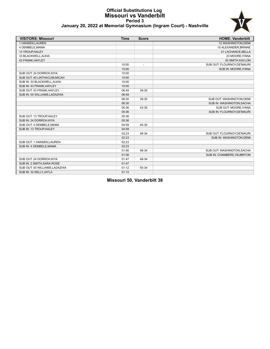### **Official Substitutions Log Missouri vs Vanderbilt Period 3 January 20, 2022 at Memorial Gymnasium (Ingram Court) - Nashville**



| <b>VISITORS: Missouri</b>      | <b>Time</b> | <b>Score</b>   | <b>HOME: Vanderbilt</b>     |
|--------------------------------|-------------|----------------|-----------------------------|
| 1 HANSEN, LAUREN               |             |                | 12 WASHINGTON, DEMI         |
| 4 DEMBELE, MAMA                |             |                | 15 ALEXANDER, BRINAE        |
| 13 TROUP, HALEY                |             |                | 21 LACHANCE, BELLA          |
| 33 BLACKWELL, AIJHA            |             |                | 23 MOORE, IYANA             |
| 43 FRANK, HAYLEY               |             |                | 50 SMITH, KAYLON            |
|                                | 10:00       | $\overline{a}$ | SUB OUT: FLOURNOY, DE'MAURI |
|                                | 10:00       |                | SUB IN: MOORE, IYANA        |
| SUB OUT: 24 DORROH, KIYA       | 10:00       |                |                             |
| SUB OUT: 40 LINTHACUM.MICAH    | 10:00       |                |                             |
| SUB IN: 33 BLACKWELL, AIJHA    | 10:00       |                |                             |
| SUB IN: 43 FRANK, HAYLEY       | 10:00       |                |                             |
| SUB OUT: 43 FRANK, HAYLEY      | 06:49       | 39-30          |                             |
| SUB IN: 00 WILLIAMS, LADAZHIA  | 06:49       |                |                             |
|                                | 06:30       | 39-30          | SUB OUT: WASHINGTON, DEMI   |
|                                | 06:30       |                | SUB IN: WASHINGTON, SACHA   |
|                                | 05:36       | 43-30          | SUB OUT: MOORE, IYANA       |
|                                | 05:36       |                | SUB IN: FLOURNOY, DE'MAURI  |
| SUB OUT: 13 TROUP, HALEY       | 05:36       |                |                             |
| SUB IN: 24 DORROH.KIYA         | 05:36       |                |                             |
| SUB OUT: 4 DEMBELE, MAMA       | 04:59       | 45-30          |                             |
| SUB IN: 13 TROUP, HALEY        | 04:59       |                |                             |
|                                | 02:23       | 48-34          | SUB OUT: FLOURNOY, DE'MAURI |
|                                | 02:23       |                | SUB IN: WASHINGTON, DEMI    |
| SUB OUT: 1 HANSEN, LAUREN      | 02:23       |                |                             |
| SUB IN: 4 DEMBELE, MAMA        | 02:23       |                |                             |
|                                | 01:56       | 48-34          | SUB OUT: WASHINGTON, SACHA  |
|                                | 01:56       |                | SUB IN: CHAMBERS, YAUBRYON  |
| SUB OUT: 24 DORROH, KIYA       | 01:47       | 48-34          |                             |
| SUB IN: 2 SMITH, SARA-ROSE     | 01:47       |                |                             |
| SUB OUT: 00 WILLIAMS, LADAZHIA | 01:12       | 50-34          |                             |
| SUB IN: 32 KELLY, JAYLA        | 01:12       |                |                             |

**Missouri 50, Vanderbilt 38**